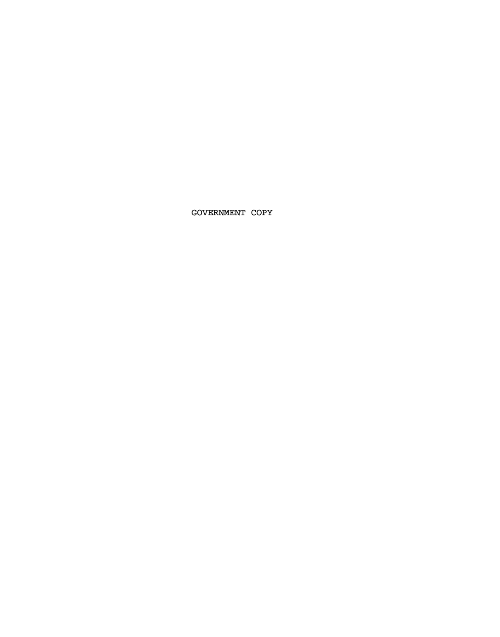GOVERNMENT COPY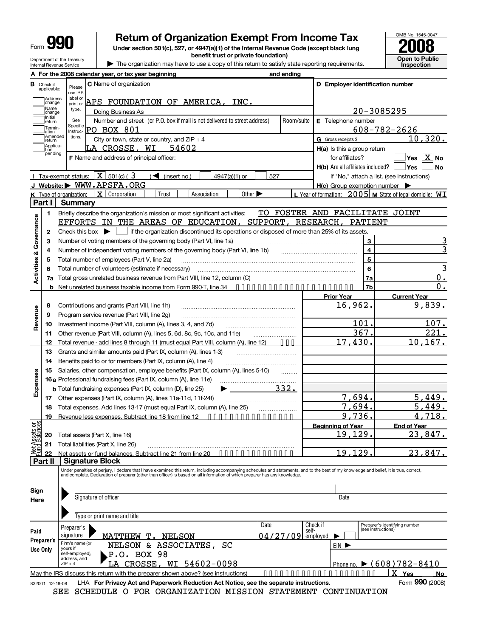| -orm | H.<br>I |  |
|------|---------|--|
|      |         |  |

Department of the Treasury

# Form **990** Return of Organization Exempt From Income Tax United No. 1545-0047<br>
Under section 501(c), 527, or 4947(a)(1) of the Internal Revenue Code (except black lung

**benefit trust or private foundation)**

**2008 Open to Public Inspection**

Department of the reastry<br>Internal Revenue Service **Internal Revenue Service 1** 

**A For the 2008 calendar year, or tax year beginning and ending B** Check if applicable: **C** Name of organization **D Employer identification number D Employer identification number** use IRS label or print of type. See **Specific** Instructions. ]Address<br>]change<br>]Name<br>]change Name type. Doing Business As<br>Initial See Number and street Number and street (or P.O. box if mail is not delivered to street address) Froom/suite G Gross receipts \$ **E** Telephone number Termin-<br>Jation<br>JAmended<br>Jreturn City or town, state or country, and ZIP + 4 Applica-<br>tion<br>pending **H(a)** Is this a group return **H(b)** Are all affiliates included? **H(c)** Group exemption number | **F** Name and address of principal officer: *West* **West West West West H** for affiliates? If "No," attach a list. (see instructions)  $Yes$  **No I** Tax-exempt status:  $X \sim 501$ (c) (  $3 \sim 100$  (insert no.)  $1 \sim 4947$ (a)(1) or  $1 \sim 527$ **J Website: |** WWW.APSFA.ORG **K** Type of organization: **X** Corporation Type of organization:  $\boxed{\textbf{X}}$  Corporation  $\boxed{\phantom{\textbf{X}}\phantom{\textbf{X}}\phantom{\textbf{X}}\phantom{\textbf{X}}\phantom{\textbf{X}}\phantom{\textbf{X}}\phantom{\textbf{X}}\phantom{\textbf{X}}\phantom{\textbf{X}}\phantom{\textbf{X}}\phantom{\textbf{X}}\phantom{\textbf{X}}\phantom{\textbf{X}}\phantom{\textbf{X}}\phantom{\textbf{X}}\phantom{\textbf{X}}\phantom{\textbf{X}}\phantom{\textbf{X}}\phantom{\textbf{X}}\phant$ **Part I Summary 1 2 3 4 5 6 7 a** Briefly describe the organization's mission or most significant activities: Check this box  $\blacktriangleright$   $\blacksquare$  if the organization discontinued its operations or disposed of more than 25% of its assets. Number of voting members of the governing body (Part VI, line 1a) Number of independent voting members of the governing body (Part VI, line 1b) Total number of employees (Part V, line 2a) ~~~~~~~~~~~~~~~~~~~~ **3 4 5 6 7a 7b** ………………………………………… ~~~~~~~~~~~~~~~~~~~~~~~~~~~~~~~~ Total number of volunteers (estimate if necessary) Total number of employees (Part V, line 2a)<br>
6 Total number of volunteers (estimate if necessary)<br>
7a Total gross unrelated business revenue from Part VIII, line 12, column (C) Net unrelated business taxable income from Form 990-T, line 34 **•••••••••••••••••••••• b Governance Prior Year Current Year 8 9 10 11 12 13 14 15 16 a** Professional fundraising fees (Part IX, column (A), line 11e) **17 18 19** Contributions and grants (Part VIII, line 1h) Program service revenue (Part VIII, line 2g) Investment income (Part VIII, column (A), lines 3, 4, and 7d) Other revenue (Part VIII, column (A), lines 5, 6d, 8c, 9c, 10c, and 11e) **Revenue** Total revenue - add lines 8 through 11 (must equal Part VIII, column (A), line 12) Grants and similar amounts paid (Part IX, column (A), lines 1-3) Benefits paid to or for members (Part IX, column (A), line 4) Salaries, other compensation, employee benefits (Part IX, column (A), lines 5-10) ……………………………… ~~~~~~~~~~~~~ ~~~~~~~~ **b** Total fundraising expenses (Part IX, column (D), line 25) ~~~~~~~~~~~~~~  $\blacktriangleright$ Other expenses (Part IX, column (A), lines 11a-11d, 11f-24f) Total expenses. Add lines 13-17 (must equal Part IX, column (A), line 25) Revenue less expenses. Subtract line 18 from line 12 **··············** ~~~~~~~~~~~~~ ~~~~~~~ **Expenses Beginning of Year End of Year 20 21 22** Total assets (Part X, line 16) Total liabilities (Part X, line 26) 5ଖି<br>- සිදු **20** Total assets (Part X, line 16)<br>- සිදු **21** Total liabilities (Part X, line 26)<br>- <u>Part assets or fund balances. Subtract line 21 from line 20 • • • • • • • • • • • • • • • • •<br>≅<u>ন</u> 22 Net assets or fu</u> ~~~~~~~~~~~~~~~~~~~~~~~~~~~~ ~~~~~~~~~~~~~~~~~~~~~~~~~~~ **Net** ssets or<br>Ralances **Part II Signature Block** Under penalties of perjury, I declare that I have examined this return, including accompanying schedules and statements, and to the best of my knowledge and belief, it is true, correct,<br>and complete. Declaration of prepare **Sign Here** Signature of officer **Date** Date **Date** Date Type or print name and title Preparer's identifying number (see instructions) Date Check if<br>14 / 27 / 09 employed Preparer's **Paid Preparer Preparer's Use Only** Firm's name (or yours if self-employed), address, and  $ZIP + 4$ EIN<sup>B</sup> Phone no.  $\triangleright$  (608) 782-8410 May the IRS discuss this return with the preparer shown above? (see instructions) ••••••••••••••••••••• **Yes No** 832001 12-18-08 LHA **For Privacy Act and Paperwork Reduction Act Notice, see the separate instructions. Form 990 (2008)** APS FOUNDATION OF AMERICA, INC. 20-3085295 PO BOX 801 608-782-2626 10,320. LA CROSSE, WI 54602 Yes X No TO FOSTER AND FACILITATE JOINT EFFORTS IN THE AREAS OF EDUCATION, SUPPORT, RESEARCH, PATIENT <u>3</u> 3 3 0. 0. 16,962. 9,839. 101. 107. 367. 221. 17,430. 10,167. 332. 7,694. 5,449. 7,694. 5,449. 9,736. 4,718. 19,129. 23,847. 19,129. 23,847. MATTHEW T. NELSON NELSON & ASSOCIATES, SC P.O. BOX 98 LA CROSSE, WI 54602-0098  $\overline{\mathbf{x}}$ 

SEE SCHEDULE O FOR ORGANIZATION MISSION STATEMENT CONTINUATION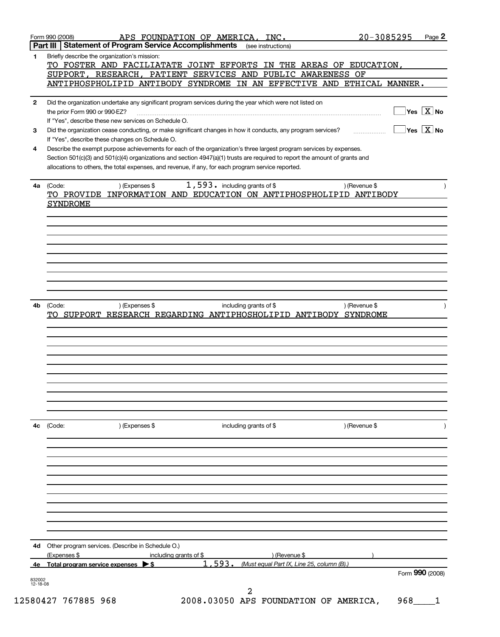| 4с<br>4d<br>4е    | (Code:<br>) (Expenses \$<br>Other program services. (Describe in Schedule O.)<br>(Expenses \$<br>including grants of \$<br>$\triangleright$ s<br>Total program service expenses                                                                                                                                   | ) (Revenue \$<br>593.<br>1.<br>(Must equal Part IX, Line 25, column (B).) | ) (Revenue \$<br>Form 990 (2008)                                                             |
|-------------------|-------------------------------------------------------------------------------------------------------------------------------------------------------------------------------------------------------------------------------------------------------------------------------------------------------------------|---------------------------------------------------------------------------|----------------------------------------------------------------------------------------------|
|                   |                                                                                                                                                                                                                                                                                                                   |                                                                           |                                                                                              |
|                   |                                                                                                                                                                                                                                                                                                                   |                                                                           |                                                                                              |
|                   |                                                                                                                                                                                                                                                                                                                   |                                                                           |                                                                                              |
|                   |                                                                                                                                                                                                                                                                                                                   |                                                                           |                                                                                              |
|                   |                                                                                                                                                                                                                                                                                                                   | including grants of \$                                                    |                                                                                              |
|                   | TO SUPPORT RESEARCH REGARDING ANTIPHOSHOLIPID ANTIBODY SYNDROME                                                                                                                                                                                                                                                   |                                                                           |                                                                                              |
| 4b                | ) (Expenses \$<br>(Code:                                                                                                                                                                                                                                                                                          | including grants of \$                                                    | ) (Revenue \$                                                                                |
|                   |                                                                                                                                                                                                                                                                                                                   |                                                                           |                                                                                              |
|                   | TO PROVIDE INFORMATION AND EDUCATION ON ANTIPHOSPHOLIPID ANTIBODY<br><b>SYNDROME</b>                                                                                                                                                                                                                              |                                                                           |                                                                                              |
|                   | Section 501(c)(3) and 501(c)(4) organizations and section 4947(a)(1) trusts are required to report the amount of grants and<br>allocations to others, the total expenses, and revenue, if any, for each program service reported.<br>) (Expenses \$<br>4a (Code:                                                  | 1,593. including grants of \$                                             | ) (Revenue \$                                                                                |
| 4                 | If "Yes", describe these changes on Schedule O.<br>Describe the exempt purpose achievements for each of the organization's three largest program services by expenses.                                                                                                                                            |                                                                           |                                                                                              |
| 3                 | Did the organization undertake any significant program services during the year which were not listed on<br>the prior Form 990 or 990-EZ?<br>If "Yes", describe these new services on Schedule O.<br>Did the organization cease conducting, or make significant changes in how it conducts, any program services? |                                                                           | $\sqrt{}$ Yes $\sqrt{}$ $\overline{\text{X}}$ No<br>$\sqrt{}$ Yes $\sqrt{}\,\overline{X}$ No |
|                   | <u>ANTIPHOSPHOLIPID ANTIBODY SYNDROME IN AN EFFECTIVE AND ETHICAL MANNER.</u>                                                                                                                                                                                                                                     |                                                                           |                                                                                              |
|                   | SUPPORT, RESEARCH, PATIENT SERVICES AND                                                                                                                                                                                                                                                                           | PUBLIC AWARENESS OF                                                       |                                                                                              |
| 1<br>$\mathbf{2}$ | Briefly describe the organization's mission:<br>TO FOSTER AND FACILIATATE JOINT EFFORTS IN THE AREAS OF EDUCATION,                                                                                                                                                                                                |                                                                           |                                                                                              |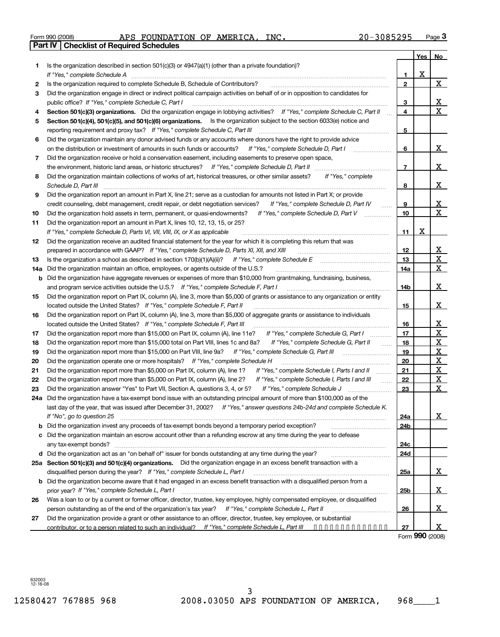|  | Form 990 (2008) |
|--|-----------------|

| Form 990 (2008)                                | APS FOUNDATION OF | AMERICA, | INC. | $20 - 3085295$ | Page 3 |
|------------------------------------------------|-------------------|----------|------|----------------|--------|
| <b>Part IV</b> Checklist of Required Schedules |                   |          |      |                |        |

|          |                                                                                                                                                                                                                                      |                 | Yes          | <b>No</b>            |
|----------|--------------------------------------------------------------------------------------------------------------------------------------------------------------------------------------------------------------------------------------|-----------------|--------------|----------------------|
| 1        | Is the organization described in section $501(c)(3)$ or $4947(a)(1)$ (other than a private foundation)?                                                                                                                              |                 |              |                      |
|          | If "Yes." complete Schedule A                                                                                                                                                                                                        | 1.              | $\mathbf{x}$ |                      |
| 2        | Is the organization required to complete Schedule B, Schedule of Contributors?                                                                                                                                                       | $\overline{2}$  |              | $\mathbf{X}$         |
| з        | Did the organization engage in direct or indirect political campaign activities on behalf of or in opposition to candidates for                                                                                                      |                 |              |                      |
|          | public office? If "Yes," complete Schedule C, Part I                                                                                                                                                                                 | <u>3</u><br>4   |              | <u>x</u><br>X        |
| 4        | Section 501(c)(3) organizations. Did the organization engage in lobbying activities? If "Yes," complete Schedule C, Part II                                                                                                          |                 |              |                      |
| 5        | Section 501(c)(4), 501(c)(5), and 501(c)(6) organizations. Is the organization subject to the section 6033(e) notice and                                                                                                             |                 |              |                      |
|          | reporting requirement and proxy tax? If "Yes," complete Schedule C, Part III                                                                                                                                                         | 5               |              |                      |
| 6        | Did the organization maintain any donor advised funds or any accounts where donors have the right to provide advice<br>on the distribution or investment of amounts in such funds or accounts? If "Yes," complete Schedule D, Part I |                 |              | <u>x</u>             |
|          |                                                                                                                                                                                                                                      | 6               |              |                      |
| 7        | Did the organization receive or hold a conservation easement, including easements to preserve open space,<br>the environment, historic land areas, or historic structures? If "Yes," complete Schedule D, Part II                    | $\overline{7}$  |              | $\mathbf X$          |
|          | If "Yes," complete                                                                                                                                                                                                                   |                 |              |                      |
| 8        | Did the organization maintain collections of works of art, historical treasures, or other similar assets?<br>Schedule D, Part III                                                                                                    | 8               |              | <u>x</u>             |
| 9        | Did the organization report an amount in Part X, line 21; serve as a custodian for amounts not listed in Part X; or provide                                                                                                          |                 |              |                      |
|          | If "Yes," complete Schedule D, Part IV<br>credit counseling, debt management, credit repair, or debt negotiation services?                                                                                                           | 9               |              | <u>x</u>             |
|          | If "Yes," complete Schedule D, Part V<br>Did the organization hold assets in term, permanent, or quasi-endowments?                                                                                                                   | 10              |              | $\mathbf X$          |
| 10<br>11 | Did the organization report an amount in Part X, lines 10, 12, 13, 15, or 25?                                                                                                                                                        |                 |              |                      |
|          | If "Yes," complete Schedule D, Parts VI, VII, VIII, IX, or X as applicable                                                                                                                                                           | 11              | <u>x</u>     |                      |
| 12       | Did the organization receive an audited financial statement for the year for which it is completing this return that was                                                                                                             |                 |              |                      |
|          | prepared in accordance with GAAP? If "Yes," complete Schedule D, Parts XI, XII, and XIII                                                                                                                                             | 12              |              | <u>x</u>             |
| 13       | Is the organization a school as described in section $170(b)(1)(A)(ii)?$ If "Yes," complete Schedule E                                                                                                                               | 13              |              | $\mathbf{X}$         |
| 14a      | Did the organization maintain an office, employees, or agents outside of the U.S.?                                                                                                                                                   | <u>14a</u>      |              | $\mathbf{X}_{\perp}$ |
| b        | Did the organization have aggregate revenues or expenses of more than \$10,000 from grantmaking, fundraising, business,                                                                                                              |                 |              |                      |
|          | and program service activities outside the U.S.? If "Yes," complete Schedule F, Part I                                                                                                                                               | 14 <sub>b</sub> |              | <u>x</u>             |
| 15       | Did the organization report on Part IX, column (A), line 3, more than \$5,000 of grants or assistance to any organization or entity                                                                                                  |                 |              |                      |
|          | located outside the United States? If "Yes," complete Schedule F, Part II                                                                                                                                                            | 15              |              | <u>x</u>             |
| 16       | Did the organization report on Part IX, column (A), line 3, more than \$5,000 of aggregate grants or assistance to individuals                                                                                                       |                 |              |                      |
|          | located outside the United States? If "Yes," complete Schedule F, Part III                                                                                                                                                           | 16              |              | <u>х</u>             |
| 17       | Did the organization report more than \$15,000 on Part IX, column (A), line 11e?<br>If "Yes," complete Schedule G, Part I                                                                                                            | 17              |              | $\mathbf X$          |
| 18       | If "Yes," complete Schedule G, Part II<br>Did the organization report more than \$15,000 total on Part VIII, lines 1c and 8a?                                                                                                        | 18              |              | $\mathbf{x}$         |
| 19       | Did the organization report more than \$15,000 on Part VIII, line 9a? If "Yes," complete Schedule G, Part III                                                                                                                        | <u>19</u>       |              | $\mathbf{x}$         |
| 20       | Did the organization operate one or more hospitals? If "Yes," complete Schedule H                                                                                                                                                    | 20              |              | $\mathbf{x}$         |
| 21       | Did the organization report more than \$5,000 on Part IX, column (A), line 1?<br>If "Yes," complete Schedule I, Parts I and II<br>.                                                                                                  | 21              |              | $\mathbf{x}$         |
| 22       | Did the organization report more than \$5,000 on Part IX, column (A), line 2?<br>If "Yes," complete Schedule I, Parts I and III                                                                                                      | 22              |              | <u>x</u>             |
| 23       | Did the organization answer "Yes" to Part VII, Section A, questions 3, 4, or 5?<br>If "Yes," complete Schedule J<br>.                                                                                                                | 23              |              | X.                   |
|          | 24a Did the organization have a tax-exempt bond issue with an outstanding principal amount of more than \$100,000 as of the                                                                                                          |                 |              |                      |
|          | last day of the year, that was issued after December 31, 2002? If "Yes," answer questions 24b-24d and complete Schedule K.                                                                                                           |                 |              |                      |
|          | If "No", go to question 25                                                                                                                                                                                                           | <u>24a</u>      |              | <u>x</u>             |
| b        | Did the organization invest any proceeds of tax-exempt bonds beyond a temporary period exception?                                                                                                                                    | 24b             |              |                      |
| c        | Did the organization maintain an escrow account other than a refunding escrow at any time during the year to defease                                                                                                                 |                 |              |                      |
|          |                                                                                                                                                                                                                                      | 24c             |              |                      |
|          | d Did the organization act as an "on behalf of" issuer for bonds outstanding at any time during the year?                                                                                                                            | 24d             |              |                      |
| 25a      | Section 501(c)(3) and 501(c)(4) organizations. Did the organization engage in an excess benefit transaction with a                                                                                                                   |                 |              |                      |
|          | disqualified person during the year? If "Yes," complete Schedule L, Part I                                                                                                                                                           | 25a             |              | <u>x</u>             |
| b        | Did the organization become aware that it had engaged in an excess benefit transaction with a disqualified person from a                                                                                                             |                 |              |                      |
|          | prior year? If "Yes," complete Schedule L, Part I                                                                                                                                                                                    | 25 <sub>b</sub> |              | <u>x</u>             |
| 26       | Was a loan to or by a current or former officer, director, trustee, key employee, highly compensated employee, or disqualified                                                                                                       |                 |              | x                    |
|          | Did the organization provide a grant or other assistance to an officer, director, trustee, key employee, or substantial                                                                                                              | 26              |              |                      |
| 27       | contributor, or to a person related to such an individual? If "Yes," complete Schedule L, Part III                                                                                                                                   | 27              |              | x                    |
|          |                                                                                                                                                                                                                                      |                 |              |                      |

Form **990** (2008)

832003 12-18-08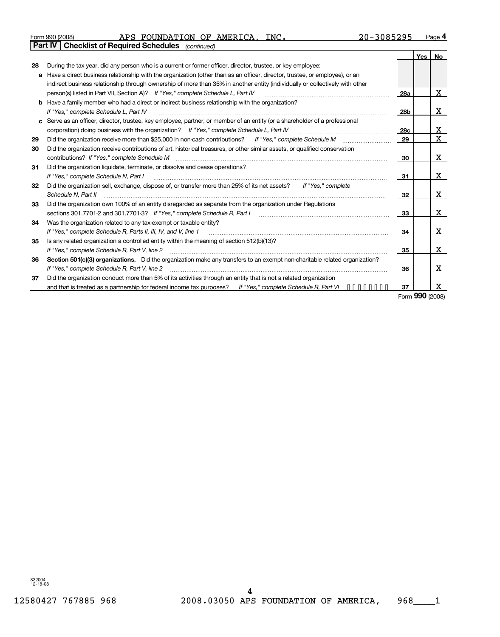### Form 990 (2008) Page **4** APS FOUNDATION OF AMERICA, INC. 20-3085295 **Part IV Checklist of Required Schedules** *(continued)*

|              |                                                                                                                               |                 |                 | Yes   No |
|--------------|-------------------------------------------------------------------------------------------------------------------------------|-----------------|-----------------|----------|
| 28           | During the tax year, did any person who is a current or former officer, director, trustee, or key employee:                   |                 |                 |          |
|              | a Have a direct business relationship with the organization (other than as an officer, director, trustee, or employee), or an |                 |                 |          |
|              | indirect business relationship through ownership of more than 35% in another entity (individually or collectively with other  |                 |                 |          |
|              | person(s) listed in Part VII, Section A)? If "Yes," complete Schedule L, Part IV                                              | <b>28a</b>      |                 | X        |
|              | <b>b</b> Have a family member who had a direct or indirect business relationship with the organization?                       |                 |                 |          |
|              | If "Yes." complete Schedule L, Part IV                                                                                        | 28 <sub>b</sub> |                 | x        |
| $\mathbf{c}$ | Serve as an officer, director, trustee, key employee, partner, or member of an entity (or a shareholder of a professional     |                 |                 |          |
|              | corporation) doing business with the organization? If "Yes," complete Schedule L, Part IV                                     | 28 <sub>c</sub> |                 | x        |
| 29           |                                                                                                                               | 29              |                 | X        |
| 30           | Did the organization receive contributions of art, historical treasures, or other similar assets, or qualified conservation   |                 |                 |          |
|              | contributions? If "Yes," complete Schedule M                                                                                  | 30              |                 | x        |
| 31           | Did the organization liquidate, terminate, or dissolve and cease operations?                                                  |                 |                 |          |
|              | If "Yes," complete Schedule N, Part I                                                                                         | 31              |                 | x        |
| 32           | Did the organization sell, exchange, dispose of, or transfer more than 25% of its net assets?<br>If "Yes," complete           |                 |                 |          |
|              | Schedule N, Part II                                                                                                           | 32              |                 | x        |
| 33           | Did the organization own 100% of an entity disregarded as separate from the organization under Regulations                    |                 |                 |          |
|              | sections 301.7701-2 and 301.7701-3? If "Yes," complete Schedule R, Part I                                                     | 33              |                 | x        |
| 34           | Was the organization related to any tax-exempt or taxable entity?                                                             |                 |                 |          |
|              | If "Yes," complete Schedule R, Parts II, III, IV, and V, line 1                                                               | 34              |                 | x        |
| 35           | Is any related organization a controlled entity within the meaning of section 512(b)(13)?                                     |                 |                 |          |
|              | If "Yes," complete Schedule R, Part V, line 2                                                                                 | 35              |                 | x        |
| 36           | Section 501(c)(3) organizations. Did the organization make any transfers to an exempt non-charitable related organization?    |                 |                 |          |
|              | If "Yes," complete Schedule R, Part V, line 2                                                                                 | 36              |                 | x        |
| 37           | Did the organization conduct more than 5% of its activities through an entity that is not a related organization              |                 |                 |          |
|              | and that is treated as a partnership for federal income tax purposes? If "Yes," complete Schedule R, Part VI $\cdots$         | 37              |                 | x        |
|              |                                                                                                                               |                 | Form 990 (2008) |          |

832004 12-18-08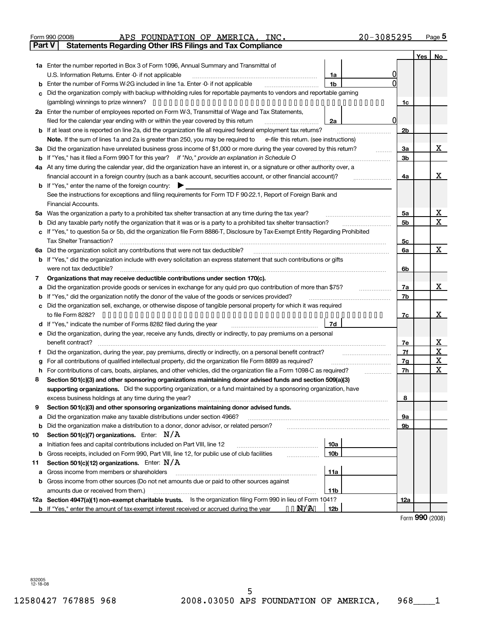| APS<br>990 (2008) |  |  |
|-------------------|--|--|
|-------------------|--|--|

#### Form 990 (2008) **3.1 APS FOUNDATION OF AMERICA, INC.** 20-3085295 Page 5 APS FOUNDATION OF AMERICA, INC. 20-3085295

| Part V | <b>Statements Regarding Other IRS Filings and Tax Compliance</b>                                                                                                                                                     |                 |   |     |     |              |
|--------|----------------------------------------------------------------------------------------------------------------------------------------------------------------------------------------------------------------------|-----------------|---|-----|-----|--------------|
|        |                                                                                                                                                                                                                      |                 |   |     | Yes | No           |
|        | 1a Enter the number reported in Box 3 of Form 1096, Annual Summary and Transmittal of                                                                                                                                |                 |   |     |     |              |
|        | U.S. Information Returns. Enter -0- if not applicable                                                                                                                                                                | 1a              |   |     |     |              |
| b      | Enter the number of Forms W-2G included in line 1a. Enter -0- if not applicable                                                                                                                                      | 1 <sub>b</sub>  |   |     |     |              |
| c      | Did the organization comply with backup withholding rules for reportable payments to vendors and reportable gaming                                                                                                   |                 |   |     |     |              |
|        |                                                                                                                                                                                                                      |                 |   | 1c  |     |              |
|        | 2a Enter the number of employees reported on Form W-3, Transmittal of Wage and Tax Statements,                                                                                                                       |                 |   |     |     |              |
|        | filed for the calendar year ending with or within the year covered by this return                                                                                                                                    | 2a              | 0 |     |     |              |
| b      | If at least one is reported on line 2a, did the organization file all required federal employment tax returns?                                                                                                       |                 |   | 2b  |     |              |
|        | Note. If the sum of lines 1a and 2a is greater than 250, you may be required to e-file this return. (see instructions)                                                                                               |                 |   |     |     |              |
|        | 3a Did the organization have unrelated business gross income of \$1,000 or more during the year covered by this return?                                                                                              |                 | . | За  |     | X            |
| b      | If "Yes," has it filed a Form 990-T for this year? If "No," provide an explanation in Schedule O                                                                                                                     |                 |   | Зb  |     |              |
|        | 4a At any time during the calendar year, did the organization have an interest in, or a signature or other authority over, a                                                                                         |                 |   |     |     |              |
|        | financial account in a foreign country (such as a bank account, securities account, or other financial account)?                                                                                                     |                 |   | 4a  |     | X            |
|        | <b>b</b> If "Yes," enter the name of the foreign country: $\blacktriangleright$                                                                                                                                      |                 |   |     |     |              |
|        | See the instructions for exceptions and filing requirements for Form TD F 90-22.1, Report of Foreign Bank and                                                                                                        |                 |   |     |     |              |
|        | <b>Financial Accounts.</b>                                                                                                                                                                                           |                 |   |     |     |              |
|        | 5a Was the organization a party to a prohibited tax shelter transaction at any time during the tax year?                                                                                                             |                 |   | 5a  |     | х            |
|        | <b>b</b> Did any taxable party notify the organization that it was or is a party to a prohibited tax shelter transaction?                                                                                            |                 |   | 5b  |     | $\mathbf{X}$ |
|        | c If "Yes," to question 5a or 5b, did the organization file Form 8886-T, Disclosure by Tax-Exempt Entity Regarding Prohibited                                                                                        |                 |   |     |     |              |
|        | Tax Shelter Transaction?                                                                                                                                                                                             |                 |   | 5с  |     |              |
|        | 6a Did the organization solicit any contributions that were not tax deductible?                                                                                                                                      |                 |   | 6a  |     | $\mathbf{X}$ |
|        | b If "Yes," did the organization include with every solicitation an express statement that such contributions or gifts                                                                                               |                 |   |     |     |              |
|        | were not tax deductible?                                                                                                                                                                                             |                 |   | 6b  |     |              |
| 7      | Organizations that may receive deductible contributions under section 170(c).                                                                                                                                        |                 |   |     |     |              |
| a      | Did the organization provide goods or services in exchange for any quid pro quo contribution of more than \$75?                                                                                                      |                 |   | 7a  |     | <u>x</u>     |
| b      | If "Yes," did the organization notify the donor of the value of the goods or services provided?<br>Did the organization sell, exchange, or otherwise dispose of tangible personal property for which it was required |                 |   | 7b  |     |              |
| c      |                                                                                                                                                                                                                      |                 |   |     |     | X            |
|        | d If "Yes," indicate the number of Forms 8282 filed during the year                                                                                                                                                  | 7d              |   | 7c  |     |              |
|        | e Did the organization, during the year, receive any funds, directly or indirectly, to pay premiums on a personal                                                                                                    |                 |   |     |     |              |
|        | benefit contract?                                                                                                                                                                                                    |                 |   | 7е  |     | X            |
| f      | Did the organization, during the year, pay premiums, directly or indirectly, on a personal benefit contract?                                                                                                         |                 |   | 7f  |     | X            |
|        | For all contributions of qualified intellectual property, did the organization file Form 8899 as required?                                                                                                           |                 |   | 7g  |     | X            |
|        | h For contributions of cars, boats, airplanes, and other vehicles, did the organization file a Form 1098-C as required?                                                                                              |                 | . | 7h  |     | X            |
| 8      | Section 501(c)(3) and other sponsoring organizations maintaining donor advised funds and section 509(a)(3)                                                                                                           |                 |   |     |     |              |
|        | supporting organizations. Did the supporting organization, or a fund maintained by a sponsoring organization, have                                                                                                   |                 |   |     |     |              |
|        | excess business holdings at any time during the year?                                                                                                                                                                |                 |   | 8   |     |              |
| 9      | Section 501(c)(3) and other sponsoring organizations maintaining donor advised funds.                                                                                                                                |                 |   |     |     |              |
| a      | Did the organization make any taxable distributions under section 4966?                                                                                                                                              |                 |   | 9а  |     |              |
| b      | Did the organization make a distribution to a donor, donor advisor, or related person?                                                                                                                               |                 |   | 9b  |     |              |
| 10     | Section 501(c)(7) organizations. Enter: $N/A$                                                                                                                                                                        |                 |   |     |     |              |
| a      | Initiation fees and capital contributions included on Part VIII, line 12                                                                                                                                             | 10a             |   |     |     |              |
|        | <b>b</b> Gross receipts, included on Form 990, Part VIII, line 12, for public use of club facilities                                                                                                                 | 10 <sub>b</sub> |   |     |     |              |
| 11     | Section 501(c)(12) organizations. Enter: $N/A$                                                                                                                                                                       |                 |   |     |     |              |
| a      | Gross income from members or shareholders                                                                                                                                                                            | 11a             |   |     |     |              |
|        | b Gross income from other sources (Do not net amounts due or paid to other sources against                                                                                                                           |                 |   |     |     |              |
|        | amounts due or received from them.)                                                                                                                                                                                  | 11 <sub>b</sub> |   |     |     |              |
|        | 12a Section 4947(a)(1) non-exempt charitable trusts. Is the organization filing Form 990 in lieu of Form 1041?                                                                                                       |                 |   | 12a |     |              |
|        | <b>b</b> If "Yes," enter the amount of tax-exempt interest received or accrued during the year $\bullet \bullet \mathbf{N}$ .                                                                                        | 12 <sub>b</sub> |   |     |     |              |

Form **990** (2008)

832005 12-18-08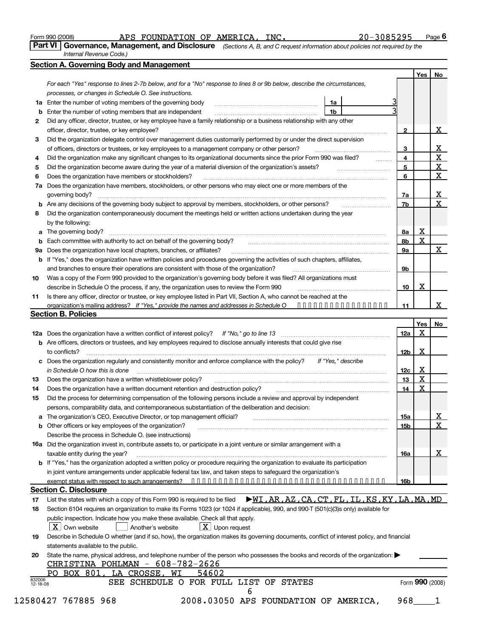Form 990 (2008) APS FOUNDATION OF AMERICA,INC<sub>·</sub> 20-3085295 Page **6** 

**Part VI Governance, Management, and Disclosure** *(Sections A, B, and C request information about policies not required by the Internal Revenue Code.)*

|                    | <b>Section A. Governing Body and Management</b>                                                                                                               |                 | <b>Yes</b>              | No |
|--------------------|---------------------------------------------------------------------------------------------------------------------------------------------------------------|-----------------|-------------------------|----|
|                    |                                                                                                                                                               |                 |                         |    |
|                    | For each "Yes" response to lines 2-7b below, and for a "No" response to lines 8 or 9b below, describe the circumstances,                                      |                 |                         |    |
|                    | processes, or changes in Schedule O. See instructions.<br><b>1a</b> Enter the number of voting members of the governing body                                  |                 |                         |    |
|                    | 1a<br>Enter the number of voting members that are independent<br>1b                                                                                           |                 |                         |    |
| b                  | Did any officer, director, trustee, or key employee have a family relationship or a business relationship with any other                                      |                 |                         |    |
| 2                  |                                                                                                                                                               |                 |                         | х  |
|                    | officer, director, trustee, or key employee?                                                                                                                  | 2               |                         |    |
| З                  | Did the organization delegate control over management duties customarily performed by or under the direct supervision                                         |                 |                         |    |
|                    | of officers, directors or trustees, or key employees to a management company or other person?                                                                 | 3               |                         |    |
| 4                  | Did the organization make any significant changes to its organizational documents since the prior Form 990 was filed?                                         | 4               |                         |    |
| 5                  | Did the organization become aware during the year of a material diversion of the organization's assets?                                                       | 5               |                         |    |
| 6                  | Does the organization have members or stockholders?                                                                                                           | 6               |                         |    |
|                    | 7a Does the organization have members, stockholders, or other persons who may elect one or more members of the<br>governing body?                             | 7a              |                         |    |
|                    | <b>b</b> Are any decisions of the governing body subject to approval by members, stockholders, or other persons?                                              | 7b              |                         |    |
| 8                  | Did the organization contemporaneously document the meetings held or written actions undertaken during the year<br>by the following:                          |                 |                         |    |
|                    |                                                                                                                                                               |                 | $\overline{\textbf{X}}$ |    |
|                    | <b>a</b> The governing body?                                                                                                                                  | <u>8a</u>       |                         |    |
|                    | Each committee with authority to act on behalf of the governing body?                                                                                         | 8b              | X                       |    |
| 9а                 | Does the organization have local chapters, branches, or affiliates?                                                                                           | <b>9a</b>       |                         |    |
| b                  | If "Yes," does the organization have written policies and procedures governing the activities of such chapters, affiliates,                                   |                 |                         |    |
|                    | and branches to ensure their operations are consistent with those of the organization?                                                                        | 9b              |                         |    |
| 10                 | Was a copy of the Form 990 provided to the organization's governing body before it was filed? All organizations must                                          |                 |                         |    |
|                    | describe in Schedule O the process, if any, the organization uses to review the Form 990                                                                      | 10              | х                       |    |
| 11                 | Is there any officer, director or trustee, or key employee listed in Part VII, Section A, who cannot be reached at the                                        |                 |                         |    |
|                    | organization's mailing address? If "Yes," provide the names and addresses in Schedule $0 \ \ \ \cdots \ \ \cdots \ \ \cdots \ \ \cdots \ \ \cdots \ \ \cdots$ | 11              |                         |    |
|                    | <b>Section B. Policies</b>                                                                                                                                    |                 |                         |    |
|                    |                                                                                                                                                               |                 | Yes                     |    |
|                    |                                                                                                                                                               | 12a             | x                       |    |
|                    | <b>b</b> Are officers, directors or trustees, and key employees required to disclose annually interests that could give rise                                  |                 |                         |    |
|                    | to conflicts?                                                                                                                                                 | 12 <sub>b</sub> | X                       |    |
| c                  | Does the organization regularly and consistently monitor and enforce compliance with the policy?<br>If "Yes," describe                                        |                 |                         |    |
|                    | in Schedule O how this is done                                                                                                                                | 12c             | х                       |    |
| 13                 | Does the organization have a written whistleblower policy?                                                                                                    | 13              | X                       |    |
| 14                 | Does the organization have a written document retention and destruction policy?                                                                               | 14              | X                       |    |
| 15                 | Did the process for determining compensation of the following persons include a review and approval by independent                                            |                 |                         |    |
|                    | persons, comparability data, and contemporaneous substantiation of the deliberation and decision:                                                             |                 |                         |    |
| a                  | The organization's CEO, Executive Director, or top management official?                                                                                       | <u>15a</u>      |                         |    |
| b                  | Other officers or key employees of the organization?                                                                                                          | 15 <sub>b</sub> |                         |    |
|                    | Describe the process in Schedule O. (see instructions)                                                                                                        |                 |                         |    |
|                    | 16a Did the organization invest in, contribute assets to, or participate in a joint venture or similar arrangement with a                                     |                 |                         |    |
|                    | taxable entity during the year?                                                                                                                               | 16a             |                         |    |
|                    | b If "Yes," has the organization adopted a written policy or procedure requiring the organization to evaluate its participation                               |                 |                         |    |
|                    | in joint venture arrangements under applicable federal tax law, and taken steps to safeguard the organization's                                               |                 |                         |    |
|                    |                                                                                                                                                               | <u>16b</u>      |                         |    |
|                    | <b>Section C. Disclosure</b>                                                                                                                                  |                 |                         |    |
| 17                 | $\blacktriangleright$ WI, AR, AZ, CA, CT, FL, IL, KS, KY, LA, MA, MD<br>List the states with which a copy of this Form 990 is required to be filed            |                 |                         |    |
|                    | Section 6104 requires an organization to make its Forms 1023 (or 1024 if applicable), 990, and 990-T (501(c)(3)s only) available for                          |                 |                         |    |
| 18                 |                                                                                                                                                               |                 |                         |    |
|                    |                                                                                                                                                               |                 |                         |    |
|                    | public inspection. Indicate how you make these available. Check all that apply.                                                                               |                 |                         |    |
|                    | $\lfloor x \rfloor$ Upon request<br>X Own website<br>Another's website                                                                                        |                 |                         |    |
| 19                 | Describe in Schedule O whether (and if so, how), the organization makes its governing documents, conflict of interest policy, and financial                   |                 |                         |    |
|                    | statements available to the public.                                                                                                                           |                 |                         |    |
|                    | State the name, physical address, and telephone number of the person who possesses the books and records of the organization:                                 |                 |                         |    |
| 20                 | <u>CHRISTINA POHLMAN - 608-782-2626</u>                                                                                                                       |                 |                         |    |
|                    | PO BOX 801, LA CROSSE, WI<br>54602                                                                                                                            |                 |                         |    |
| 832006<br>12-18-08 | SEE SCHEDULE O FOR FULL LIST OF STATES<br>6                                                                                                                   |                 | Form 990 (2008)         |    |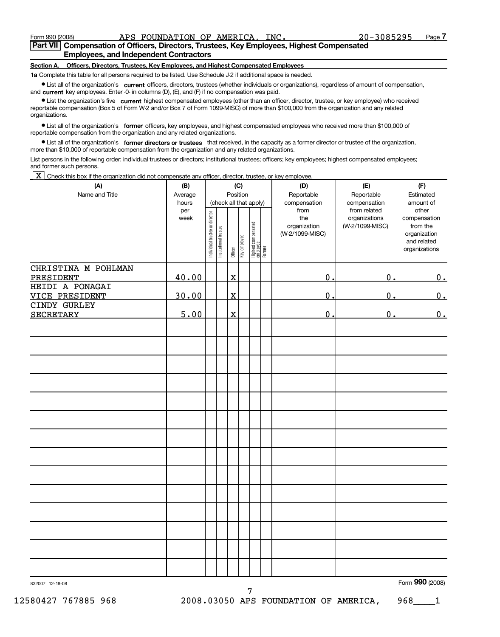### **Part VII Compensation of Officers, Directors, Trustees, Key Employees, Highest Compensated Employees, and Independent Contractors**

#### **Section A. Officers, Directors, Trustees, Key Employees, and Highest Compensated Employees**

**1a** Complete this table for all persons required to be listed. Use Schedule J-2 if additional space is needed.

¥ List all of the organization's **current** officers, directors, trustees (whether individuals or organizations), regardless of amount of compensation, and **current** key employees. Enter -0- in columns (D), (E), and (F) if no compensation was paid.

¥ List the organization's five **current** highest compensated employees (other than an officer, director, trustee, or key employee) who received reportable compensation (Box 5 of Form W-2 and/or Box 7 of Form 1099-MISC) of more than \$100,000 from the organization and any related organizations.

¥ List all of the organization's **former** officers, key employees, and highest compensated employees who received more than \$100,000 of reportable compensation from the organization and any related organizations.

¥ List all of the organization's **former directors or trustees** that received, in the capacity as a former director or trustee of the organization, more than \$10,000 of reportable compensation from the organization and any related organizations.

List persons in the following order: individual trustees or directors; institutional trustees; officers; key employees; highest compensated employees; and former such persons.

 $\underline{X}$  Check this box if the organization did not compensate any officer, director, trustee, or key employee.

| (A)                                      | (B)                  | (C)                                |                       |                         |              |                                           |  | (D)                                                            | (E)                                                              | (F)                                                                                            |
|------------------------------------------|----------------------|------------------------------------|-----------------------|-------------------------|--------------|-------------------------------------------|--|----------------------------------------------------------------|------------------------------------------------------------------|------------------------------------------------------------------------------------------------|
| Name and Title                           | Average              | Position<br>(check all that apply) |                       |                         |              |                                           |  | Reportable                                                     | Reportable                                                       | Estimated                                                                                      |
|                                          | hours<br>per<br>week | Individual trustee or director     | Institutional trustee | Officer                 | Key employee | Highest compensated<br>employee<br>Former |  | compensation<br>from<br>the<br>organization<br>(W-2/1099-MISC) | compensation<br>from related<br>organizations<br>(W-2/1099-MISC) | amount of<br>other<br>compensation<br>from the<br>organization<br>and related<br>organizations |
| CHRISTINA M POHLMAN<br>PRESIDENT         | 40.00                |                                    |                       | $\overline{\mathbf{X}}$ |              |                                           |  | $\overline{0}$ .                                               | $\overline{0}$ .                                                 | 0.                                                                                             |
| HEIDI A PONAGAI<br><b>VICE PRESIDENT</b> | 30.00                |                                    |                       | $\overline{\mathbf{X}}$ |              |                                           |  | 0.                                                             | $\mathbf 0$                                                      | 0.                                                                                             |
| CINDY GURLEY<br><b>SECRETARY</b>         | 5.00                 |                                    |                       | $\mathbf X$             |              |                                           |  | 0.                                                             | $\mathbf 0$                                                      | 0.                                                                                             |
|                                          |                      |                                    |                       |                         |              |                                           |  |                                                                |                                                                  |                                                                                                |
|                                          |                      |                                    |                       |                         |              |                                           |  |                                                                |                                                                  |                                                                                                |
|                                          |                      |                                    |                       |                         |              |                                           |  |                                                                |                                                                  |                                                                                                |
|                                          |                      |                                    |                       |                         |              |                                           |  |                                                                |                                                                  |                                                                                                |
|                                          |                      |                                    |                       |                         |              |                                           |  |                                                                |                                                                  |                                                                                                |
|                                          |                      |                                    |                       |                         |              |                                           |  |                                                                |                                                                  |                                                                                                |
|                                          |                      |                                    |                       |                         |              |                                           |  |                                                                |                                                                  |                                                                                                |
|                                          |                      |                                    |                       |                         |              |                                           |  |                                                                |                                                                  |                                                                                                |
|                                          |                      |                                    |                       |                         |              |                                           |  |                                                                |                                                                  |                                                                                                |
|                                          |                      |                                    |                       |                         |              |                                           |  |                                                                |                                                                  |                                                                                                |
|                                          |                      |                                    |                       |                         |              |                                           |  |                                                                |                                                                  |                                                                                                |

7

832007 12-18-08 Form **990** (2008)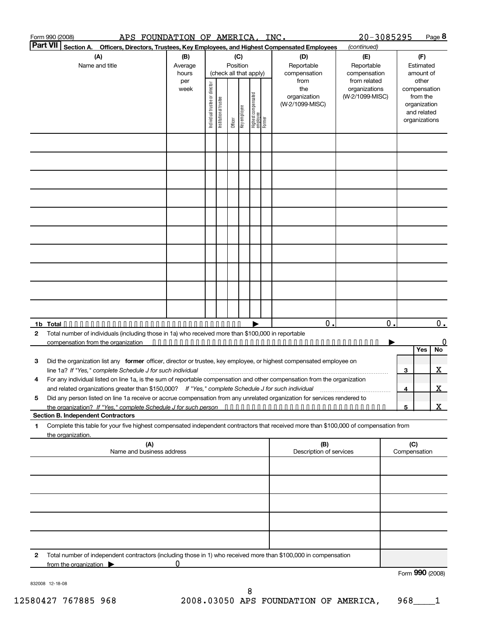|                 | Form 990 (2008)<br>APS FOUNDATION OF AMERICA,                                                                                                                                                                                            |                         |                                |                       |                         |     |                                           | INC.                                           | 20-3085295                                       |                               | Page 8                                                                            |  |
|-----------------|------------------------------------------------------------------------------------------------------------------------------------------------------------------------------------------------------------------------------------------|-------------------------|--------------------------------|-----------------------|-------------------------|-----|-------------------------------------------|------------------------------------------------|--------------------------------------------------|-------------------------------|-----------------------------------------------------------------------------------|--|
| <b>Part VII</b> | Section A.<br>Officers, Directors, Trustees, Key Employees, and Highest Compensated Employees                                                                                                                                            |                         |                                |                       |                         |     |                                           |                                                | (continued)                                      |                               |                                                                                   |  |
|                 | (A)<br>Name and title                                                                                                                                                                                                                    | (B)<br>Average<br>hours |                                |                       | Position                | (C) | (check all that apply)                    | (D)<br>Reportable<br>compensation              | (E)<br>Reportable<br>compensation                | (F)<br>Estimated<br>amount of |                                                                                   |  |
|                 |                                                                                                                                                                                                                                          | per<br>week             | Individual trustee or director | Institutional trustee | Officer<br>Key employee |     | Highest compensated<br>employee<br>Former | from<br>the<br>organization<br>(W-2/1099-MISC) | from related<br>organizations<br>(W-2/1099-MISC) |                               | other<br>compensation<br>from the<br>organization<br>and related<br>organizations |  |
|                 |                                                                                                                                                                                                                                          |                         |                                |                       |                         |     |                                           |                                                |                                                  |                               |                                                                                   |  |
|                 |                                                                                                                                                                                                                                          |                         |                                |                       |                         |     |                                           |                                                |                                                  |                               |                                                                                   |  |
|                 |                                                                                                                                                                                                                                          |                         |                                |                       |                         |     |                                           |                                                |                                                  |                               |                                                                                   |  |
|                 |                                                                                                                                                                                                                                          |                         |                                |                       |                         |     |                                           |                                                |                                                  |                               |                                                                                   |  |
|                 |                                                                                                                                                                                                                                          |                         |                                |                       |                         |     |                                           |                                                |                                                  |                               |                                                                                   |  |
|                 |                                                                                                                                                                                                                                          |                         |                                |                       |                         |     |                                           |                                                |                                                  |                               |                                                                                   |  |
|                 |                                                                                                                                                                                                                                          |                         |                                |                       |                         |     |                                           |                                                |                                                  |                               |                                                                                   |  |
|                 |                                                                                                                                                                                                                                          |                         |                                |                       |                         |     |                                           |                                                |                                                  |                               |                                                                                   |  |
| $\overline{2}$  | Total number of individuals (including those in 1a) who received more than \$100,000 in reportable                                                                                                                                       |                         |                                |                       |                         |     |                                           | 0.                                             | $\mathbf 0$ .                                    |                               | $0_{\cdot}$<br>0<br>No<br>Yes                                                     |  |
| 3               | Did the organization list any former officer, director or trustee, key employee, or highest compensated employee on<br>line 1a? If "Yes," complete Schedule J for such individual                                                        |                         |                                |                       |                         |     |                                           |                                                |                                                  | 3                             | $\mathbf{X}$                                                                      |  |
|                 | For any individual listed on line 1a, is the sum of reportable compensation and other compensation from the organization<br>and related organizations greater than \$150,000? If "Yes," complete Schedule J for such individual          |                         |                                |                       |                         |     |                                           |                                                |                                                  | $\overline{\mathbf{4}}$       | <u>x</u>                                                                          |  |
| 5               | Did any person listed on line 1a receive or accrue compensation from any unrelated organization for services rendered to<br>the organization? If "Yes," complete Schedule J for such person<br><b>Section B. Independent Contractors</b> |                         |                                |                       |                         |     |                                           |                                                |                                                  | 5                             | $\mathbf X$                                                                       |  |
| 1               | Complete this table for your five highest compensated independent contractors that received more than \$100,000 of compensation from<br>the organization.                                                                                |                         |                                |                       |                         |     |                                           |                                                |                                                  |                               |                                                                                   |  |
|                 | (A)<br>Name and business address                                                                                                                                                                                                         |                         |                                |                       |                         |     |                                           | (B)<br>Description of services                 |                                                  | (C)<br>Compensation           |                                                                                   |  |
|                 |                                                                                                                                                                                                                                          |                         |                                |                       |                         |     |                                           |                                                |                                                  |                               |                                                                                   |  |
|                 |                                                                                                                                                                                                                                          |                         |                                |                       |                         |     |                                           |                                                |                                                  |                               |                                                                                   |  |
|                 |                                                                                                                                                                                                                                          |                         |                                |                       |                         |     |                                           |                                                |                                                  |                               |                                                                                   |  |
| 2               | Total number of independent contractors (including those in 1) who received more than \$100,000 in compensation                                                                                                                          |                         |                                |                       |                         |     |                                           |                                                |                                                  |                               |                                                                                   |  |
|                 | from the organization $\blacktriangleright$<br>832008 12-18-08                                                                                                                                                                           | 0                       |                                |                       |                         |     |                                           |                                                |                                                  |                               | Form 990 (2008)                                                                   |  |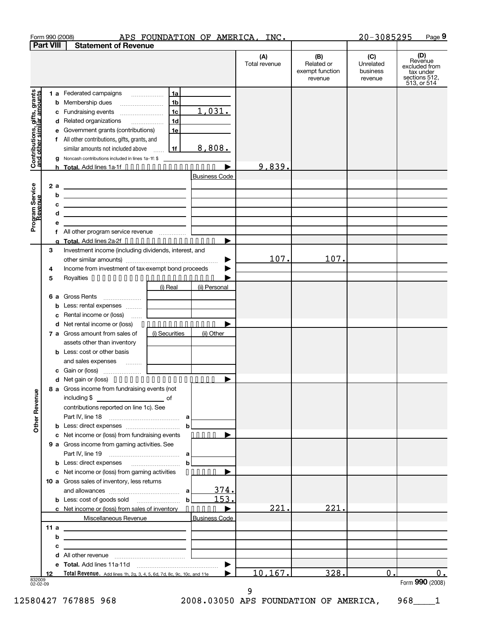|                                                           |        |     | Form 990 (2008)                                                                                                                                                                |                            |                      | APS FOUNDATION OF AMERICA, INC. |                                                 | 20-3085295                              | Page 9                                                                       |
|-----------------------------------------------------------|--------|-----|--------------------------------------------------------------------------------------------------------------------------------------------------------------------------------|----------------------------|----------------------|---------------------------------|-------------------------------------------------|-----------------------------------------|------------------------------------------------------------------------------|
| <b>Part VIII</b>                                          |        |     | <b>Statement of Revenue</b>                                                                                                                                                    |                            |                      |                                 |                                                 |                                         |                                                                              |
|                                                           |        |     |                                                                                                                                                                                |                            |                      | (A)<br>Total revenue            | (B)<br>Related or<br>exempt function<br>revenue | (C)<br>Unrelated<br>business<br>revenue | (D)<br>Revenue<br>excluded from<br>tax under<br>sections 512,<br>513, or 514 |
| Contributions, gifts, grants<br>and other similar amounts |        |     | 1 a Federated campaigns<br><b>b</b> Membership dues<br>c Fundraising events                                                                                                    | 1a<br>1 <sub>b</sub><br>1c | 1,031.               |                                 |                                                 |                                         |                                                                              |
|                                                           |        |     | d Related organizations<br>e Government grants (contributions)                                                                                                                 | 1 <sub>d</sub><br>1e       |                      |                                 |                                                 |                                         |                                                                              |
|                                                           |        |     | f All other contributions, gifts, grants, and<br>similar amounts not included above                                                                                            | 1f                         | 8,808.               |                                 |                                                 |                                         |                                                                              |
|                                                           |        |     | Noncash contributions included in lines 1a-1f: \$<br>h Total. Add lines 1a-1f $\triangleright$                                                                                 |                            |                      | 9,839.                          |                                                 |                                         |                                                                              |
|                                                           |        | 2 a | <u> 2008 - Johann Barn, amerikansk politiker (</u>                                                                                                                             |                            | <b>Business Code</b> |                                 |                                                 |                                         |                                                                              |
|                                                           |        | b   |                                                                                                                                                                                |                            |                      |                                 |                                                 |                                         |                                                                              |
|                                                           |        | c   | <u> 1989 - Johann Harry Harry Harry Harry Harry Harry Harry Harry Harry Harry Harry Harry Harry Harry Harry Harry</u>                                                          |                            |                      |                                 |                                                 |                                         |                                                                              |
| Program Service                                           |        | d   | <u> 1989 - Johann Barn, mars an t-Amerikaansk politiker (</u>                                                                                                                  |                            |                      |                                 |                                                 |                                         |                                                                              |
|                                                           |        | е   |                                                                                                                                                                                |                            |                      |                                 |                                                 |                                         |                                                                              |
|                                                           |        |     | g Total. Add lines $2a-2f \cdot \cdot \cdot \cdot \cdot \cdot \cdot \cdot \cdot \cdot \cdot \cdot \cdot \cdot$                                                                 |                            |                      |                                 |                                                 |                                         |                                                                              |
|                                                           | З      |     | Investment income (including dividends, interest, and                                                                                                                          |                            |                      |                                 |                                                 |                                         |                                                                              |
|                                                           |        |     |                                                                                                                                                                                |                            | ▶                    | 107.                            | 107.                                            |                                         |                                                                              |
|                                                           | 4      |     | Income from investment of tax-exempt bond proceeds                                                                                                                             |                            |                      |                                 |                                                 |                                         |                                                                              |
|                                                           | 5      |     |                                                                                                                                                                                | (i) Real                   | (ii) Personal        |                                 |                                                 |                                         |                                                                              |
|                                                           |        |     | 6 a Gross Rents                                                                                                                                                                |                            |                      |                                 |                                                 |                                         |                                                                              |
|                                                           |        |     | <b>b</b> Less: rental expenses                                                                                                                                                 |                            |                      |                                 |                                                 |                                         |                                                                              |
|                                                           |        |     | c Rental income or (loss)                                                                                                                                                      |                            |                      |                                 |                                                 |                                         |                                                                              |
|                                                           |        |     | <b>d</b> Net rental income or (loss)                                                                                                                                           | . <u>.</u>                 |                      |                                 |                                                 |                                         |                                                                              |
|                                                           |        |     | 7 a Gross amount from sales of                                                                                                                                                 | (i) Securities             | (ii) Other           |                                 |                                                 |                                         |                                                                              |
|                                                           |        |     | assets other than inventory<br><b>b</b> Less: cost or other basis                                                                                                              |                            |                      |                                 |                                                 |                                         |                                                                              |
|                                                           |        |     | and sales expenses                                                                                                                                                             |                            |                      |                                 |                                                 |                                         |                                                                              |
|                                                           |        |     |                                                                                                                                                                                |                            |                      |                                 |                                                 |                                         |                                                                              |
|                                                           |        |     | d Net gain or (loss) $\bullet \bullet \bullet \bullet \bullet \bullet \bullet \bullet \bullet \bullet \bullet \bullet \bullet \bullet \bullet \bullet \bullet \bullet \bullet$ |                            |                      |                                 |                                                 |                                         |                                                                              |
| Other Revenue                                             |        |     | 8 a Gross income from fundraising events (not<br>including $$$                                                                                                                 |                            |                      |                                 |                                                 |                                         |                                                                              |
|                                                           |        |     | contributions reported on line 1c). See                                                                                                                                        |                            |                      |                                 |                                                 |                                         |                                                                              |
|                                                           |        |     | Part IV, line 18                                                                                                                                                               |                            |                      |                                 |                                                 |                                         |                                                                              |
|                                                           |        |     |                                                                                                                                                                                | $\mathbf b$                |                      |                                 |                                                 |                                         |                                                                              |
|                                                           |        |     | c Net income or (loss) from fundraising events<br>9 a Gross income from gaming activities. See                                                                                 |                            | $\cdots$             |                                 |                                                 |                                         |                                                                              |
|                                                           |        |     |                                                                                                                                                                                |                            |                      |                                 |                                                 |                                         |                                                                              |
|                                                           |        |     | <b>b</b> Less: direct expenses                                                                                                                                                 | $\mathbf{b}$               |                      |                                 |                                                 |                                         |                                                                              |
|                                                           |        |     | c Net income or (loss) from gaming activities                                                                                                                                  |                            | .                    |                                 |                                                 |                                         |                                                                              |
|                                                           |        |     | 10 a Gross sales of inventory, less returns                                                                                                                                    |                            |                      |                                 |                                                 |                                         |                                                                              |
|                                                           |        |     |                                                                                                                                                                                | a l                        | 374.<br>153.         |                                 |                                                 |                                         |                                                                              |
|                                                           |        |     | <b>b</b> Less: cost of goods sold<br>c Net income or (loss) from sales of inventory                                                                                            | $\mathbf b$                |                      | 221.                            | 221.                                            |                                         |                                                                              |
|                                                           |        |     | Miscellaneous Revenue                                                                                                                                                          |                            | <b>Business Code</b> |                                 |                                                 |                                         |                                                                              |
|                                                           | 11 $a$ |     |                                                                                                                                                                                |                            |                      |                                 |                                                 |                                         |                                                                              |
|                                                           |        | b   | <u> 1989 - Johann Stein, marwolaethau a bhann an t-Alban ann an t-Alban an t-Alban ann an t-Alban an t-Alban ann a</u>                                                         |                            |                      |                                 |                                                 |                                         |                                                                              |
|                                                           |        | с   |                                                                                                                                                                                |                            |                      |                                 |                                                 |                                         |                                                                              |
|                                                           |        | d   |                                                                                                                                                                                |                            |                      |                                 |                                                 |                                         |                                                                              |
|                                                           | 12     |     | e Total. Add lines 11a-11d<br>Total Revenue. Add lines 1h, 2g, 3, 4, 5, 6d, 7d, 8c, 9c, 10c, and 11e                                                                           |                            | ▶                    | 10,167.                         | 328.                                            | $\mathbf 0$ .                           | $0$ .                                                                        |
| 832009<br>02-02-09                                        |        |     |                                                                                                                                                                                |                            |                      |                                 |                                                 |                                         | Form 990 (2008)                                                              |

02-02-09 Form **990** (2008)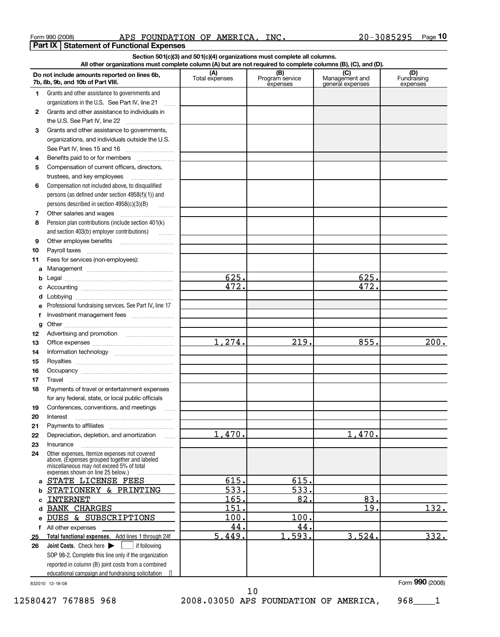| Form 990 (2008) |  |
|-----------------|--|
|                 |  |

Form 990 (2008) APS FOUNDATION OF AMERICA,INC<sub>·</sub> 20-3085295 Page **10 Part IX Statement of Functional Expenses**

|    | Section 501(c)(3) and 501(c)(4) organizations must complete all columns.<br>All other organizations must complete column (A) but are not required to complete columns (B), (C), and (D). |                |                             |                                    |                         |  |  |  |  |  |  |  |
|----|------------------------------------------------------------------------------------------------------------------------------------------------------------------------------------------|----------------|-----------------------------|------------------------------------|-------------------------|--|--|--|--|--|--|--|
|    |                                                                                                                                                                                          | (A)            | (B)                         | (C)                                | (D)                     |  |  |  |  |  |  |  |
|    | Do not include amounts reported on lines 6b,<br>7b, 8b, 9b, and 10b of Part VIII.                                                                                                        | Total expenses | Program service<br>expenses | Management and<br>general expenses | Fundraising<br>expenses |  |  |  |  |  |  |  |
| 1  | Grants and other assistance to governments and                                                                                                                                           |                |                             |                                    |                         |  |  |  |  |  |  |  |
|    | organizations in the U.S. See Part IV, line 21<br>$\ldots$                                                                                                                               |                |                             |                                    |                         |  |  |  |  |  |  |  |
| 2  | Grants and other assistance to individuals in                                                                                                                                            |                |                             |                                    |                         |  |  |  |  |  |  |  |
|    |                                                                                                                                                                                          |                |                             |                                    |                         |  |  |  |  |  |  |  |
| 3  | Grants and other assistance to governments,                                                                                                                                              |                |                             |                                    |                         |  |  |  |  |  |  |  |
|    | organizations, and individuals outside the U.S.                                                                                                                                          |                |                             |                                    |                         |  |  |  |  |  |  |  |
|    |                                                                                                                                                                                          |                |                             |                                    |                         |  |  |  |  |  |  |  |
| 4  | Benefits paid to or for members                                                                                                                                                          |                |                             |                                    |                         |  |  |  |  |  |  |  |
| 5  | Compensation of current officers, directors,                                                                                                                                             |                |                             |                                    |                         |  |  |  |  |  |  |  |
|    | trustees, and key employees                                                                                                                                                              |                |                             |                                    |                         |  |  |  |  |  |  |  |
| 6  | Compensation not included above, to disqualified                                                                                                                                         |                |                             |                                    |                         |  |  |  |  |  |  |  |
|    | persons (as defined under section 4958(f)(1)) and                                                                                                                                        |                |                             |                                    |                         |  |  |  |  |  |  |  |
|    | persons described in section 4958(c)(3)(B)                                                                                                                                               |                |                             |                                    |                         |  |  |  |  |  |  |  |
| 7  |                                                                                                                                                                                          |                |                             |                                    |                         |  |  |  |  |  |  |  |
| 8  | Pension plan contributions (include section 401(k)                                                                                                                                       |                |                             |                                    |                         |  |  |  |  |  |  |  |
|    | and section 403(b) employer contributions)                                                                                                                                               |                |                             |                                    |                         |  |  |  |  |  |  |  |
| 9  |                                                                                                                                                                                          |                |                             |                                    |                         |  |  |  |  |  |  |  |
| 10 |                                                                                                                                                                                          |                |                             |                                    |                         |  |  |  |  |  |  |  |
| 11 | Fees for services (non-employees):                                                                                                                                                       |                |                             |                                    |                         |  |  |  |  |  |  |  |
| a  |                                                                                                                                                                                          |                |                             |                                    |                         |  |  |  |  |  |  |  |
| b  |                                                                                                                                                                                          | 625.           |                             | 625.                               |                         |  |  |  |  |  |  |  |
|    |                                                                                                                                                                                          | 472.           |                             | 472.                               |                         |  |  |  |  |  |  |  |
| d  |                                                                                                                                                                                          |                |                             |                                    |                         |  |  |  |  |  |  |  |
| е  | Professional fundraising services. See Part IV, line 17                                                                                                                                  |                |                             |                                    |                         |  |  |  |  |  |  |  |
| f  |                                                                                                                                                                                          |                |                             |                                    |                         |  |  |  |  |  |  |  |
| g  |                                                                                                                                                                                          |                |                             |                                    |                         |  |  |  |  |  |  |  |
| 12 |                                                                                                                                                                                          |                |                             |                                    |                         |  |  |  |  |  |  |  |
| 13 |                                                                                                                                                                                          | 1,274.         | 219.                        | 855.                               | 200.                    |  |  |  |  |  |  |  |
| 14 |                                                                                                                                                                                          |                |                             |                                    |                         |  |  |  |  |  |  |  |
| 15 |                                                                                                                                                                                          |                |                             |                                    |                         |  |  |  |  |  |  |  |
| 16 |                                                                                                                                                                                          |                |                             |                                    |                         |  |  |  |  |  |  |  |
| 17 | Travel                                                                                                                                                                                   |                |                             |                                    |                         |  |  |  |  |  |  |  |
| 18 | Payments of travel or entertainment expenses                                                                                                                                             |                |                             |                                    |                         |  |  |  |  |  |  |  |
|    | for any federal, state, or local public officials                                                                                                                                        |                |                             |                                    |                         |  |  |  |  |  |  |  |
| 19 | Conferences, conventions, and meetings<br>$\sim$                                                                                                                                         |                |                             |                                    |                         |  |  |  |  |  |  |  |
| 20 | Interest                                                                                                                                                                                 |                |                             |                                    |                         |  |  |  |  |  |  |  |
| 21 |                                                                                                                                                                                          |                |                             |                                    |                         |  |  |  |  |  |  |  |
| 22 | Depreciation, depletion, and amortization                                                                                                                                                | 1,470.         |                             | 1,470.                             |                         |  |  |  |  |  |  |  |
| 23 | Insurance                                                                                                                                                                                |                |                             |                                    |                         |  |  |  |  |  |  |  |
| 24 | Other expenses. Itemize expenses not covered<br>above. (Expenses grouped together and labeled<br>miscellaneous may not exceed 5% of total<br>expenses shown on line 25 below.)           |                |                             |                                    |                         |  |  |  |  |  |  |  |
|    | STATE LICENSE FEES                                                                                                                                                                       | 615.           | 615.                        |                                    |                         |  |  |  |  |  |  |  |
|    | STATIONERY & PRINTING                                                                                                                                                                    | 533.           | 533.                        |                                    |                         |  |  |  |  |  |  |  |
|    | <b>INTERNET</b>                                                                                                                                                                          | 165.           | 82.                         | 83.                                |                         |  |  |  |  |  |  |  |
|    | <b>BANK CHARGES</b>                                                                                                                                                                      | 151.           |                             | 19.                                | 132.                    |  |  |  |  |  |  |  |
|    | DUES & SUBSCRIPTIONS                                                                                                                                                                     | 100.           | 100.                        |                                    |                         |  |  |  |  |  |  |  |
| f  | All other expenses                                                                                                                                                                       | 44.            | 44.                         |                                    |                         |  |  |  |  |  |  |  |
| 25 | Total functional expenses. Add lines 1 through 24f                                                                                                                                       | 5,449.         | 1,593.                      | 3,524.                             | 332.                    |  |  |  |  |  |  |  |
| 26 | Joint Costs. Check here ><br>l if following                                                                                                                                              |                |                             |                                    |                         |  |  |  |  |  |  |  |
|    | SOP 98-2. Complete this line only if the organization                                                                                                                                    |                |                             |                                    |                         |  |  |  |  |  |  |  |
|    | reported in column (B) joint costs from a combined                                                                                                                                       |                |                             |                                    |                         |  |  |  |  |  |  |  |
|    | educational campaign and fundraising solicitation •                                                                                                                                      |                |                             |                                    |                         |  |  |  |  |  |  |  |

832010 12-18-08 Form **990** (2008)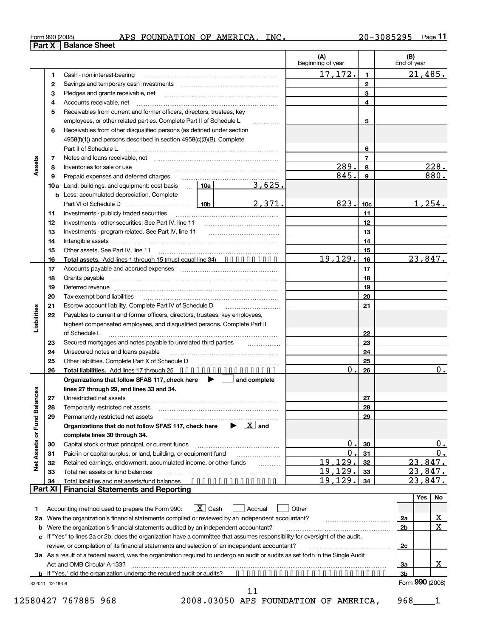| Form 990 (2008) |  |  |
|-----------------|--|--|
|-----------------|--|--|

|                             | <b>Part X</b>  | Form 990 (2008)<br><b>Balance Sheet</b>                                                                                                                                                                                           |                                                                                                                                                                                                                                                                                                                                                                                                                                                                                                                                                                                                                                                                                                                                                                                                                                                                                                                                                                                                                                                                                                                                                                                                                                                                                                                                                                                                                                                           | <u>APS FOUNDATION OF AMERICA, INC.</u> |                          |                     | <u>20-3085295 </u><br>Page II |
|-----------------------------|----------------|-----------------------------------------------------------------------------------------------------------------------------------------------------------------------------------------------------------------------------------|-----------------------------------------------------------------------------------------------------------------------------------------------------------------------------------------------------------------------------------------------------------------------------------------------------------------------------------------------------------------------------------------------------------------------------------------------------------------------------------------------------------------------------------------------------------------------------------------------------------------------------------------------------------------------------------------------------------------------------------------------------------------------------------------------------------------------------------------------------------------------------------------------------------------------------------------------------------------------------------------------------------------------------------------------------------------------------------------------------------------------------------------------------------------------------------------------------------------------------------------------------------------------------------------------------------------------------------------------------------------------------------------------------------------------------------------------------------|----------------------------------------|--------------------------|---------------------|-------------------------------|
|                             |                |                                                                                                                                                                                                                                   |                                                                                                                                                                                                                                                                                                                                                                                                                                                                                                                                                                                                                                                                                                                                                                                                                                                                                                                                                                                                                                                                                                                                                                                                                                                                                                                                                                                                                                                           |                                        | (A)<br>Beginning of year |                     | (B)<br>End of year            |
|                             |                |                                                                                                                                                                                                                                   |                                                                                                                                                                                                                                                                                                                                                                                                                                                                                                                                                                                                                                                                                                                                                                                                                                                                                                                                                                                                                                                                                                                                                                                                                                                                                                                                                                                                                                                           |                                        | 17,172.                  | $\mathbf{1}$        | 21,485.                       |
|                             | 1              | Cash - non-interest-bearing                                                                                                                                                                                                       |                                                                                                                                                                                                                                                                                                                                                                                                                                                                                                                                                                                                                                                                                                                                                                                                                                                                                                                                                                                                                                                                                                                                                                                                                                                                                                                                                                                                                                                           |                                        |                          | $\mathbf{2}$        |                               |
|                             | 2<br>З         |                                                                                                                                                                                                                                   |                                                                                                                                                                                                                                                                                                                                                                                                                                                                                                                                                                                                                                                                                                                                                                                                                                                                                                                                                                                                                                                                                                                                                                                                                                                                                                                                                                                                                                                           |                                        |                          | 3                   |                               |
|                             |                | Pledges and grants receivable, net [11] [11] matter contracts and grants receivable, net<br>Accounts receivable, net                                                                                                              |                                                                                                                                                                                                                                                                                                                                                                                                                                                                                                                                                                                                                                                                                                                                                                                                                                                                                                                                                                                                                                                                                                                                                                                                                                                                                                                                                                                                                                                           | 4                                      |                          |                     |                               |
|                             | 4              | Receivables from current and former officers, directors, trustees, key                                                                                                                                                            |                                                                                                                                                                                                                                                                                                                                                                                                                                                                                                                                                                                                                                                                                                                                                                                                                                                                                                                                                                                                                                                                                                                                                                                                                                                                                                                                                                                                                                                           |                                        |                          |                     |                               |
|                             | 5              |                                                                                                                                                                                                                                   |                                                                                                                                                                                                                                                                                                                                                                                                                                                                                                                                                                                                                                                                                                                                                                                                                                                                                                                                                                                                                                                                                                                                                                                                                                                                                                                                                                                                                                                           |                                        |                          |                     |                               |
|                             |                | employees, or other related parties. Complete Part II of Schedule L<br>Receivables from other disqualified persons (as defined under section                                                                                      |                                                                                                                                                                                                                                                                                                                                                                                                                                                                                                                                                                                                                                                                                                                                                                                                                                                                                                                                                                                                                                                                                                                                                                                                                                                                                                                                                                                                                                                           | .                                      |                          | 5                   |                               |
|                             | 6              | 4958(f)(1)) and persons described in section 4958(c)(3)(B). Complete                                                                                                                                                              |                                                                                                                                                                                                                                                                                                                                                                                                                                                                                                                                                                                                                                                                                                                                                                                                                                                                                                                                                                                                                                                                                                                                                                                                                                                                                                                                                                                                                                                           |                                        |                          |                     |                               |
|                             |                | Part II of Schedule L                                                                                                                                                                                                             |                                                                                                                                                                                                                                                                                                                                                                                                                                                                                                                                                                                                                                                                                                                                                                                                                                                                                                                                                                                                                                                                                                                                                                                                                                                                                                                                                                                                                                                           |                                        |                          |                     |                               |
|                             |                |                                                                                                                                                                                                                                   |                                                                                                                                                                                                                                                                                                                                                                                                                                                                                                                                                                                                                                                                                                                                                                                                                                                                                                                                                                                                                                                                                                                                                                                                                                                                                                                                                                                                                                                           |                                        |                          | 6<br>$\overline{7}$ |                               |
| Assets                      | 7              |                                                                                                                                                                                                                                   |                                                                                                                                                                                                                                                                                                                                                                                                                                                                                                                                                                                                                                                                                                                                                                                                                                                                                                                                                                                                                                                                                                                                                                                                                                                                                                                                                                                                                                                           |                                        | 289.                     |                     | 228.                          |
|                             | 8              |                                                                                                                                                                                                                                   |                                                                                                                                                                                                                                                                                                                                                                                                                                                                                                                                                                                                                                                                                                                                                                                                                                                                                                                                                                                                                                                                                                                                                                                                                                                                                                                                                                                                                                                           |                                        | 845.                     | 8                   | 880.                          |
|                             | 9              | Prepaid expenses and deferred charges                                                                                                                                                                                             |                                                                                                                                                                                                                                                                                                                                                                                                                                                                                                                                                                                                                                                                                                                                                                                                                                                                                                                                                                                                                                                                                                                                                                                                                                                                                                                                                                                                                                                           | 3,625.                                 |                          | 9                   |                               |
|                             |                | <b>10a</b> Land, buildings, and equipment: cost basis $\therefore$ <b>10a</b>                                                                                                                                                     |                                                                                                                                                                                                                                                                                                                                                                                                                                                                                                                                                                                                                                                                                                                                                                                                                                                                                                                                                                                                                                                                                                                                                                                                                                                                                                                                                                                                                                                           |                                        |                          |                     |                               |
|                             |                | <b>b</b> Less: accumulated depreciation. Complete                                                                                                                                                                                 |                                                                                                                                                                                                                                                                                                                                                                                                                                                                                                                                                                                                                                                                                                                                                                                                                                                                                                                                                                                                                                                                                                                                                                                                                                                                                                                                                                                                                                                           |                                        |                          |                     | <u>1,254.</u>                 |
|                             |                |                                                                                                                                                                                                                                   |                                                                                                                                                                                                                                                                                                                                                                                                                                                                                                                                                                                                                                                                                                                                                                                                                                                                                                                                                                                                                                                                                                                                                                                                                                                                                                                                                                                                                                                           |                                        |                          |                     |                               |
|                             | 11             |                                                                                                                                                                                                                                   |                                                                                                                                                                                                                                                                                                                                                                                                                                                                                                                                                                                                                                                                                                                                                                                                                                                                                                                                                                                                                                                                                                                                                                                                                                                                                                                                                                                                                                                           |                                        |                          |                     |                               |
|                             | 12             |                                                                                                                                                                                                                                   |                                                                                                                                                                                                                                                                                                                                                                                                                                                                                                                                                                                                                                                                                                                                                                                                                                                                                                                                                                                                                                                                                                                                                                                                                                                                                                                                                                                                                                                           |                                        |                          |                     |                               |
|                             | 13             |                                                                                                                                                                                                                                   |                                                                                                                                                                                                                                                                                                                                                                                                                                                                                                                                                                                                                                                                                                                                                                                                                                                                                                                                                                                                                                                                                                                                                                                                                                                                                                                                                                                                                                                           |                                        |                          |                     |                               |
|                             | 14             |                                                                                                                                                                                                                                   |                                                                                                                                                                                                                                                                                                                                                                                                                                                                                                                                                                                                                                                                                                                                                                                                                                                                                                                                                                                                                                                                                                                                                                                                                                                                                                                                                                                                                                                           |                                        |                          |                     |                               |
|                             | 15             |                                                                                                                                                                                                                                   |                                                                                                                                                                                                                                                                                                                                                                                                                                                                                                                                                                                                                                                                                                                                                                                                                                                                                                                                                                                                                                                                                                                                                                                                                                                                                                                                                                                                                                                           |                                        |                          |                     | 23,847.                       |
|                             | 16             |                                                                                                                                                                                                                                   |                                                                                                                                                                                                                                                                                                                                                                                                                                                                                                                                                                                                                                                                                                                                                                                                                                                                                                                                                                                                                                                                                                                                                                                                                                                                                                                                                                                                                                                           |                                        |                          |                     |                               |
|                             | 17             |                                                                                                                                                                                                                                   |                                                                                                                                                                                                                                                                                                                                                                                                                                                                                                                                                                                                                                                                                                                                                                                                                                                                                                                                                                                                                                                                                                                                                                                                                                                                                                                                                                                                                                                           |                                        |                          |                     |                               |
|                             | 18             |                                                                                                                                                                                                                                   |                                                                                                                                                                                                                                                                                                                                                                                                                                                                                                                                                                                                                                                                                                                                                                                                                                                                                                                                                                                                                                                                                                                                                                                                                                                                                                                                                                                                                                                           |                                        |                          |                     |                               |
|                             | 19             |                                                                                                                                                                                                                                   |                                                                                                                                                                                                                                                                                                                                                                                                                                                                                                                                                                                                                                                                                                                                                                                                                                                                                                                                                                                                                                                                                                                                                                                                                                                                                                                                                                                                                                                           |                                        |                          |                     |                               |
|                             | 20             | Tax-exempt bond liabilities                                                                                                                                                                                                       |                                                                                                                                                                                                                                                                                                                                                                                                                                                                                                                                                                                                                                                                                                                                                                                                                                                                                                                                                                                                                                                                                                                                                                                                                                                                                                                                                                                                                                                           |                                        |                          |                     |                               |
|                             | 21             |                                                                                                                                                                                                                                   |                                                                                                                                                                                                                                                                                                                                                                                                                                                                                                                                                                                                                                                                                                                                                                                                                                                                                                                                                                                                                                                                                                                                                                                                                                                                                                                                                                                                                                                           |                                        |                          |                     |                               |
| Liabilities                 | 22             |                                                                                                                                                                                                                                   |                                                                                                                                                                                                                                                                                                                                                                                                                                                                                                                                                                                                                                                                                                                                                                                                                                                                                                                                                                                                                                                                                                                                                                                                                                                                                                                                                                                                                                                           |                                        |                          |                     |                               |
|                             |                |                                                                                                                                                                                                                                   |                                                                                                                                                                                                                                                                                                                                                                                                                                                                                                                                                                                                                                                                                                                                                                                                                                                                                                                                                                                                                                                                                                                                                                                                                                                                                                                                                                                                                                                           |                                        |                          |                     |                               |
|                             |                | of Schedule L                                                                                                                                                                                                                     |                                                                                                                                                                                                                                                                                                                                                                                                                                                                                                                                                                                                                                                                                                                                                                                                                                                                                                                                                                                                                                                                                                                                                                                                                                                                                                                                                                                                                                                           |                                        |                          |                     |                               |
|                             | 23             |                                                                                                                                                                                                                                   |                                                                                                                                                                                                                                                                                                                                                                                                                                                                                                                                                                                                                                                                                                                                                                                                                                                                                                                                                                                                                                                                                                                                                                                                                                                                                                                                                                                                                                                           |                                        |                          |                     |                               |
|                             | 24             | Unsecured notes and loans payable                                                                                                                                                                                                 |                                                                                                                                                                                                                                                                                                                                                                                                                                                                                                                                                                                                                                                                                                                                                                                                                                                                                                                                                                                                                                                                                                                                                                                                                                                                                                                                                                                                                                                           |                                        |                          |                     |                               |
|                             | 25             |                                                                                                                                                                                                                                   | 823.<br>10 <sub>c</sub><br>Investments - publicly traded securities<br>11<br>12<br>13<br>14<br>15<br>19,129.<br>Total assets. Add lines 1 through 15 (must equal line 34)<br>16<br>Accounts payable and accrued expenses [11] matter contracts and accrued expenses [11] matter contracts and accrued expenses [11] matter contracts and accrued to a metal and accrued to a metal and accrued to a metal accrued<br>17<br>18<br>Deferred revenue manual contracts and contracts are contracted revenue of the contract of the contract of the<br>19<br>20<br>Escrow account liability. Complete Part IV of Schedule D<br>21<br>Payables to current and former officers, directors, trustees, key employees,<br>highest compensated employees, and disqualified persons. Complete Part II<br>22<br>Secured mortgages and notes payable to unrelated third parties<br>23<br>24<br>Other liabilities. Complete Part X of Schedule D<br>25<br>0<br>Total liabilities. Add lines 17 through 25<br>26<br>Organizations that follow SFAS 117, check here<br>$\blacktriangleright$<br>and complete<br>lines 27 through 29, and lines 33 and 34.<br>27<br>28<br>29<br>$\blacktriangleright$ $\mathbf{X}$ and<br>Organizations that do not follow SFAS 117, check here<br>$\overline{0}$<br>30<br>0<br>31<br>Paid-in or capital surplus, or land, building, or equipment fund<br>19,129.<br>32<br>Retained earnings, endowment, accumulated income, or other funds |                                        |                          |                     |                               |
|                             | 26             |                                                                                                                                                                                                                                   |                                                                                                                                                                                                                                                                                                                                                                                                                                                                                                                                                                                                                                                                                                                                                                                                                                                                                                                                                                                                                                                                                                                                                                                                                                                                                                                                                                                                                                                           |                                        |                          |                     | 0.                            |
|                             |                |                                                                                                                                                                                                                                   |                                                                                                                                                                                                                                                                                                                                                                                                                                                                                                                                                                                                                                                                                                                                                                                                                                                                                                                                                                                                                                                                                                                                                                                                                                                                                                                                                                                                                                                           |                                        |                          |                     |                               |
|                             |                |                                                                                                                                                                                                                                   |                                                                                                                                                                                                                                                                                                                                                                                                                                                                                                                                                                                                                                                                                                                                                                                                                                                                                                                                                                                                                                                                                                                                                                                                                                                                                                                                                                                                                                                           |                                        |                          |                     |                               |
| Net Assets or Fund Balances | 27             | Unrestricted net assets                                                                                                                                                                                                           |                                                                                                                                                                                                                                                                                                                                                                                                                                                                                                                                                                                                                                                                                                                                                                                                                                                                                                                                                                                                                                                                                                                                                                                                                                                                                                                                                                                                                                                           |                                        |                          |                     |                               |
|                             | 28             | Temporarily restricted net assets                                                                                                                                                                                                 |                                                                                                                                                                                                                                                                                                                                                                                                                                                                                                                                                                                                                                                                                                                                                                                                                                                                                                                                                                                                                                                                                                                                                                                                                                                                                                                                                                                                                                                           |                                        |                          |                     |                               |
|                             | 29             | Permanently restricted net assets                                                                                                                                                                                                 |                                                                                                                                                                                                                                                                                                                                                                                                                                                                                                                                                                                                                                                                                                                                                                                                                                                                                                                                                                                                                                                                                                                                                                                                                                                                                                                                                                                                                                                           |                                        |                          |                     |                               |
|                             |                |                                                                                                                                                                                                                                   |                                                                                                                                                                                                                                                                                                                                                                                                                                                                                                                                                                                                                                                                                                                                                                                                                                                                                                                                                                                                                                                                                                                                                                                                                                                                                                                                                                                                                                                           |                                        |                          |                     |                               |
|                             |                | complete lines 30 through 34.                                                                                                                                                                                                     |                                                                                                                                                                                                                                                                                                                                                                                                                                                                                                                                                                                                                                                                                                                                                                                                                                                                                                                                                                                                                                                                                                                                                                                                                                                                                                                                                                                                                                                           |                                        |                          |                     |                               |
|                             | 30             | Capital stock or trust principal, or current funds                                                                                                                                                                                |                                                                                                                                                                                                                                                                                                                                                                                                                                                                                                                                                                                                                                                                                                                                                                                                                                                                                                                                                                                                                                                                                                                                                                                                                                                                                                                                                                                                                                                           |                                        |                          |                     | <u>0.</u>                     |
|                             | 31             |                                                                                                                                                                                                                                   |                                                                                                                                                                                                                                                                                                                                                                                                                                                                                                                                                                                                                                                                                                                                                                                                                                                                                                                                                                                                                                                                                                                                                                                                                                                                                                                                                                                                                                                           |                                        |                          |                     | 0.                            |
|                             | 32             |                                                                                                                                                                                                                                   |                                                                                                                                                                                                                                                                                                                                                                                                                                                                                                                                                                                                                                                                                                                                                                                                                                                                                                                                                                                                                                                                                                                                                                                                                                                                                                                                                                                                                                                           |                                        |                          |                     | 23,847.                       |
|                             | 33             | Total net assets or fund balances                                                                                                                                                                                                 |                                                                                                                                                                                                                                                                                                                                                                                                                                                                                                                                                                                                                                                                                                                                                                                                                                                                                                                                                                                                                                                                                                                                                                                                                                                                                                                                                                                                                                                           |                                        | 19,129.                  | 33                  | 23,847.                       |
|                             | 34             | Total liabilities and net assets/fund balances                                                                                                                                                                                    |                                                                                                                                                                                                                                                                                                                                                                                                                                                                                                                                                                                                                                                                                                                                                                                                                                                                                                                                                                                                                                                                                                                                                                                                                                                                                                                                                                                                                                                           |                                        | 19,129                   | 34                  | ,847.<br>23                   |
|                             | <b>Part XI</b> | <b>Financial Statements and Reporting</b>                                                                                                                                                                                         |                                                                                                                                                                                                                                                                                                                                                                                                                                                                                                                                                                                                                                                                                                                                                                                                                                                                                                                                                                                                                                                                                                                                                                                                                                                                                                                                                                                                                                                           |                                        |                          |                     | Yes<br>No                     |
|                             |                |                                                                                                                                                                                                                                   |                                                                                                                                                                                                                                                                                                                                                                                                                                                                                                                                                                                                                                                                                                                                                                                                                                                                                                                                                                                                                                                                                                                                                                                                                                                                                                                                                                                                                                                           |                                        |                          |                     |                               |
| 1                           |                | Accounting method used to prepare the Form 990:                                                                                                                                                                                   | $X$ Cash                                                                                                                                                                                                                                                                                                                                                                                                                                                                                                                                                                                                                                                                                                                                                                                                                                                                                                                                                                                                                                                                                                                                                                                                                                                                                                                                                                                                                                                  | Accrual                                | Other                    |                     |                               |
| 2a                          |                | Were the organization's financial statements compiled or reviewed by an independent accountant?                                                                                                                                   |                                                                                                                                                                                                                                                                                                                                                                                                                                                                                                                                                                                                                                                                                                                                                                                                                                                                                                                                                                                                                                                                                                                                                                                                                                                                                                                                                                                                                                                           |                                        |                          |                     | <u>x</u><br>2a                |
| b                           |                | Were the organization's financial statements audited by an independent accountant?                                                                                                                                                |                                                                                                                                                                                                                                                                                                                                                                                                                                                                                                                                                                                                                                                                                                                                                                                                                                                                                                                                                                                                                                                                                                                                                                                                                                                                                                                                                                                                                                                           |                                        |                          |                     | X<br>2b                       |
|                             |                | c If "Yes" to lines 2a or 2b, does the organization have a committee that assumes responsibility for oversight of the audit,                                                                                                      |                                                                                                                                                                                                                                                                                                                                                                                                                                                                                                                                                                                                                                                                                                                                                                                                                                                                                                                                                                                                                                                                                                                                                                                                                                                                                                                                                                                                                                                           |                                        |                          |                     |                               |
|                             |                | review, or compilation of its financial statements and selection of an independent accountant?<br>3a As a result of a federal award, was the organization required to undergo an audit or audits as set forth in the Single Audit |                                                                                                                                                                                                                                                                                                                                                                                                                                                                                                                                                                                                                                                                                                                                                                                                                                                                                                                                                                                                                                                                                                                                                                                                                                                                                                                                                                                                                                                           |                                        |                          |                     | <u>2c</u>                     |

**3b b** If "Yes," did the organization undergo the required audit or audits? **••••••••••••••••••••••••••••••** 832011 12-18-08 Form **990** (2008)

X

11

Act and OMB Circular A-133? ~~~~~~~~~~~~~~~~~~~~~~~~~~~~~~~~~~~~~~~~~~~~~~~

**3a**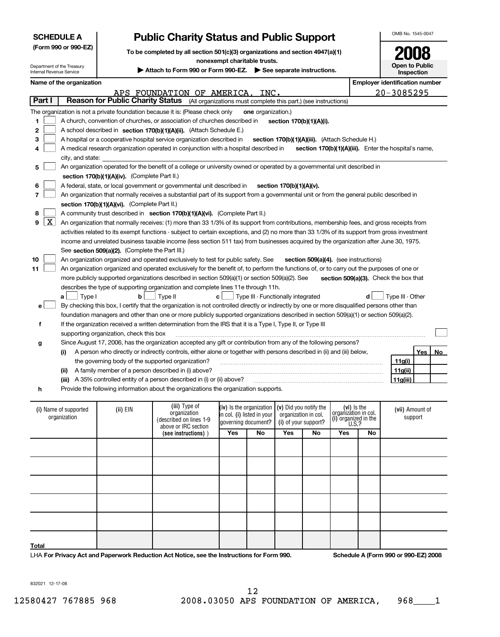| <b>SCHEDULE A</b>                                      |                                                                                                       |                                                 | <b>Public Charity Status and Public Support</b>                                                                                                          |                              |                           |                                                 |                                       |                                     |    | OMB No. 1545-0047                                     |  |  |
|--------------------------------------------------------|-------------------------------------------------------------------------------------------------------|-------------------------------------------------|----------------------------------------------------------------------------------------------------------------------------------------------------------|------------------------------|---------------------------|-------------------------------------------------|---------------------------------------|-------------------------------------|----|-------------------------------------------------------|--|--|
|                                                        | (Form 990 or 990-EZ)                                                                                  |                                                 | To be completed by all section 501(c)(3) organizations and section 4947(a)(1)                                                                            |                              |                           |                                                 |                                       |                                     |    |                                                       |  |  |
|                                                        |                                                                                                       |                                                 |                                                                                                                                                          | nonexempt charitable trusts. |                           |                                                 |                                       |                                     |    |                                                       |  |  |
| Department of the Treasury<br>Internal Revenue Service |                                                                                                       |                                                 | Attach to Form 990 or Form 990-EZ. See separate instructions.                                                                                            |                              |                           |                                                 |                                       |                                     |    | Open to Public<br>Inspection                          |  |  |
|                                                        | Name of the organization                                                                              |                                                 |                                                                                                                                                          |                              |                           |                                                 |                                       |                                     |    | <b>Employer identification number</b>                 |  |  |
|                                                        |                                                                                                       |                                                 | APS FOUNDATION OF AMERICA,                                                                                                                               |                              | INC.                      |                                                 |                                       |                                     |    | 20-3085295                                            |  |  |
| Part I                                                 |                                                                                                       |                                                 | Reason for Public Charity Status (All organizations must complete this part.) (see instructions)                                                         |                              |                           |                                                 |                                       |                                     |    |                                                       |  |  |
|                                                        |                                                                                                       |                                                 | The organization is not a private foundation because it is: (Please check only                                                                           |                              | <b>one</b> organization.) |                                                 |                                       |                                     |    |                                                       |  |  |
| 1                                                      | A church, convention of churches, or association of churches described in<br>section 170(b)(1)(A)(i). |                                                 |                                                                                                                                                          |                              |                           |                                                 |                                       |                                     |    |                                                       |  |  |
| 2                                                      |                                                                                                       |                                                 | A school described in section 170(b)(1)(A)(ii). (Attach Schedule E.)                                                                                     |                              |                           |                                                 |                                       |                                     |    |                                                       |  |  |
| 3                                                      |                                                                                                       |                                                 | A hospital or a cooperative hospital service organization described in                                                                                   |                              |                           | section 170(b)(1)(A)(iii). (Attach Schedule H.) |                                       |                                     |    |                                                       |  |  |
| 4                                                      |                                                                                                       |                                                 | A medical research organization operated in conjunction with a hospital described in                                                                     |                              |                           |                                                 |                                       |                                     |    | section 170(b)(1)(A)(iii). Enter the hospital's name, |  |  |
|                                                        | city, and state:                                                                                      |                                                 |                                                                                                                                                          |                              |                           |                                                 |                                       |                                     |    |                                                       |  |  |
| 5                                                      |                                                                                                       |                                                 | An organization operated for the benefit of a college or university owned or operated by a governmental unit described in                                |                              |                           |                                                 |                                       |                                     |    |                                                       |  |  |
|                                                        |                                                                                                       | section 170(b)(1)(A)(iv). (Complete Part II.)   |                                                                                                                                                          |                              |                           |                                                 |                                       |                                     |    |                                                       |  |  |
| 6                                                      |                                                                                                       |                                                 | A federal, state, or local government or governmental unit described in                                                                                  |                              |                           | section 170(b)(1)(A)(v).                        |                                       |                                     |    |                                                       |  |  |
| 7                                                      |                                                                                                       |                                                 | An organization that normally receives a substantial part of its support from a governmental unit or from the general public described in                |                              |                           |                                                 |                                       |                                     |    |                                                       |  |  |
|                                                        |                                                                                                       | section 170(b)(1)(A)(vi). (Complete Part II.)   |                                                                                                                                                          |                              |                           |                                                 |                                       |                                     |    |                                                       |  |  |
| 8                                                      |                                                                                                       |                                                 | A community trust described in section 170(b)(1)(A)(vi). (Complete Part II.)                                                                             |                              |                           |                                                 |                                       |                                     |    |                                                       |  |  |
| $\lfloor x \rfloor$<br>9                               |                                                                                                       |                                                 | An organization that normally receives: (1) more than 33 1/3% of its support from contributions, membership fees, and gross receipts from                |                              |                           |                                                 |                                       |                                     |    |                                                       |  |  |
|                                                        |                                                                                                       |                                                 | activities related to its exempt functions - subject to certain exceptions, and (2) no more than 33 1/3% of its support from gross investment            |                              |                           |                                                 |                                       |                                     |    |                                                       |  |  |
|                                                        |                                                                                                       |                                                 | income and unrelated business taxable income (less section 511 tax) from businesses acquired by the organization after June 30, 1975.                    |                              |                           |                                                 |                                       |                                     |    |                                                       |  |  |
|                                                        |                                                                                                       | See section 509(a)(2). (Complete the Part III.) |                                                                                                                                                          |                              |                           |                                                 |                                       |                                     |    |                                                       |  |  |
| 10                                                     |                                                                                                       |                                                 | An organization organized and operated exclusively to test for public safety. See                                                                        |                              |                           |                                                 | section 509(a)(4). (see instructions) |                                     |    |                                                       |  |  |
| 11                                                     |                                                                                                       |                                                 | An organization organized and operated exclusively for the benefit of, to perform the functions of, or to carry out the purposes of one or               |                              |                           |                                                 |                                       |                                     |    |                                                       |  |  |
|                                                        |                                                                                                       |                                                 | more publicly supported organizations described in section 509(a)(1) or section 509(a)(2). See                                                           |                              |                           |                                                 |                                       |                                     |    | section 509(a)(3). Check the box that                 |  |  |
|                                                        |                                                                                                       |                                                 | describes the type of supporting organization and complete lines 11e through 11h.                                                                        |                              |                           |                                                 |                                       |                                     | d  | Type III - Other                                      |  |  |
|                                                        | Type I<br>a l                                                                                         | b                                               | Type II<br>By checking this box, I certify that the organization is not controlled directly or indirectly by one or more disqualified persons other than | c <sub>1</sub>               |                           | Type III - Functionally integrated              |                                       |                                     |    |                                                       |  |  |
| е                                                      |                                                                                                       |                                                 | foundation managers and other than one or more publicly supported organizations described in section 509(a)(1) or section 509(a)(2).                     |                              |                           |                                                 |                                       |                                     |    |                                                       |  |  |
| f                                                      |                                                                                                       |                                                 | If the organization received a written determination from the IRS that it is a Type I, Type II, or Type III                                              |                              |                           |                                                 |                                       |                                     |    |                                                       |  |  |
|                                                        |                                                                                                       | supporting organization, check this box         |                                                                                                                                                          |                              |                           |                                                 |                                       |                                     |    |                                                       |  |  |
| g                                                      |                                                                                                       |                                                 | Since August 17, 2006, has the organization accepted any gift or contribution from any of the following persons?                                         |                              |                           |                                                 |                                       |                                     |    |                                                       |  |  |
|                                                        | (i)                                                                                                   |                                                 | A person who directly or indirectly controls, either alone or together with persons described in (ii) and (iii) below,                                   |                              |                           |                                                 |                                       |                                     |    | No<br>Yes                                             |  |  |
|                                                        |                                                                                                       |                                                 | the governing body of the supported organization?                                                                                                        |                              |                           |                                                 |                                       |                                     |    | 11g(i)                                                |  |  |
|                                                        | (ii)                                                                                                  |                                                 | A family member of a person described in (i) above?                                                                                                      |                              |                           |                                                 |                                       |                                     |    | 11g(ii)                                               |  |  |
|                                                        | (iii)                                                                                                 |                                                 | A 35% controlled entity of a person described in (i) or (ii) above?                                                                                      |                              |                           |                                                 |                                       |                                     |    | 11 <sub>g</sub> (iii)                                 |  |  |
| h                                                      |                                                                                                       |                                                 | Provide the following information about the organizations the organization supports.                                                                     |                              |                           |                                                 |                                       |                                     |    |                                                       |  |  |
|                                                        |                                                                                                       |                                                 |                                                                                                                                                          |                              |                           |                                                 |                                       |                                     |    |                                                       |  |  |
|                                                        | (i) Name of supported                                                                                 | $(ii)$ EIN                                      | (iii) Type of                                                                                                                                            | (iv) Is the organization     |                           | (v) Did you notify the                          |                                       | (vi) Is the<br>organization in col. |    | (vii) Amount of                                       |  |  |
|                                                        | organization                                                                                          |                                                 | organization<br>(described on lines 1-9                                                                                                                  | in col. (i) listed in your   |                           | organization in col.                            |                                       |                                     |    | support                                               |  |  |
|                                                        |                                                                                                       |                                                 | above or IRC section                                                                                                                                     | governing document?          |                           | (i) of your support?                            |                                       | (i) organized in the $U.S.$ ?       |    |                                                       |  |  |
|                                                        |                                                                                                       |                                                 | Yes<br>No<br>Yes<br>Yes<br>No<br>(see instructions))                                                                                                     |                              |                           |                                                 |                                       |                                     | No |                                                       |  |  |
|                                                        |                                                                                                       |                                                 |                                                                                                                                                          |                              |                           |                                                 |                                       |                                     |    |                                                       |  |  |
|                                                        |                                                                                                       |                                                 |                                                                                                                                                          |                              |                           |                                                 |                                       |                                     |    |                                                       |  |  |
|                                                        |                                                                                                       |                                                 |                                                                                                                                                          |                              |                           |                                                 |                                       |                                     |    |                                                       |  |  |
|                                                        |                                                                                                       |                                                 |                                                                                                                                                          |                              |                           |                                                 |                                       |                                     |    |                                                       |  |  |
|                                                        |                                                                                                       |                                                 |                                                                                                                                                          |                              |                           |                                                 |                                       |                                     |    |                                                       |  |  |
|                                                        |                                                                                                       |                                                 |                                                                                                                                                          |                              |                           |                                                 |                                       |                                     |    |                                                       |  |  |
|                                                        |                                                                                                       |                                                 |                                                                                                                                                          |                              |                           |                                                 |                                       |                                     |    |                                                       |  |  |
|                                                        |                                                                                                       |                                                 |                                                                                                                                                          |                              |                           |                                                 |                                       |                                     |    |                                                       |  |  |

**Total**

LHA **For Privacy Act and Paperwork Reduction Act Notice, see the Instructions for Form 990. Schedule A (Form 990 or 990-EZ) 2008**

832021 12-17-08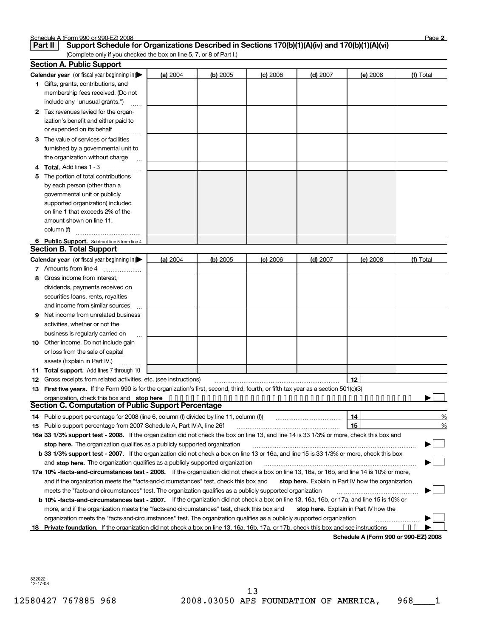| Schedule | .e A (Form 990 or 990-E7` | Z) 2008 | ∩aα |
|----------|---------------------------|---------|-----|
|          |                           |         |     |

|    | Support Schedule for Organizations Described in Sections 170(b)(1)(A)(iv) and 170(b)(1)(A)(vi)<br>Part II                                                                                                           |          |          |            |            |                                                    |           |
|----|---------------------------------------------------------------------------------------------------------------------------------------------------------------------------------------------------------------------|----------|----------|------------|------------|----------------------------------------------------|-----------|
|    | (Complete only if you checked the box on line 5, 7, or 8 of Part I.)                                                                                                                                                |          |          |            |            |                                                    |           |
|    | <b>Section A. Public Support</b>                                                                                                                                                                                    |          |          |            |            |                                                    |           |
|    | Calendar year (or fiscal year beginning in)                                                                                                                                                                         | (a) 2004 | (b) 2005 | $(c)$ 2006 | $(d)$ 2007 | (e) 2008                                           | (f) Total |
|    | 1 Gifts, grants, contributions, and<br>membership fees received. (Do not                                                                                                                                            |          |          |            |            |                                                    |           |
|    | include any "unusual grants.")                                                                                                                                                                                      |          |          |            |            |                                                    |           |
|    |                                                                                                                                                                                                                     |          |          |            |            |                                                    |           |
| 2  | Tax revenues levied for the organ-<br>ization's benefit and either paid to                                                                                                                                          |          |          |            |            |                                                    |           |
|    | or expended on its behalf                                                                                                                                                                                           |          |          |            |            |                                                    |           |
|    | The value of services or facilities                                                                                                                                                                                 |          |          |            |            |                                                    |           |
| 3. | furnished by a governmental unit to                                                                                                                                                                                 |          |          |            |            |                                                    |           |
|    | the organization without charge                                                                                                                                                                                     |          |          |            |            |                                                    |           |
|    | <b>Total.</b> Add lines 1 - 3                                                                                                                                                                                       |          |          |            |            |                                                    |           |
|    | The portion of total contributions                                                                                                                                                                                  |          |          |            |            |                                                    |           |
|    | by each person (other than a                                                                                                                                                                                        |          |          |            |            |                                                    |           |
|    | governmental unit or publicly                                                                                                                                                                                       |          |          |            |            |                                                    |           |
|    | supported organization) included                                                                                                                                                                                    |          |          |            |            |                                                    |           |
|    | on line 1 that exceeds 2% of the                                                                                                                                                                                    |          |          |            |            |                                                    |           |
|    | amount shown on line 11,                                                                                                                                                                                            |          |          |            |            |                                                    |           |
|    | column (f)                                                                                                                                                                                                          |          |          |            |            |                                                    |           |
|    | 6 Public Support. Subtract line 5 from line 4.                                                                                                                                                                      |          |          |            |            |                                                    |           |
|    | <b>Section B. Total Support</b>                                                                                                                                                                                     |          |          |            |            |                                                    |           |
|    | Calendar year (or fiscal year beginning in)                                                                                                                                                                         | (a) 2004 | (b) 2005 | $(c)$ 2006 | $(d)$ 2007 | $(e)$ 2008                                         | (f) Total |
|    | 7 Amounts from line 4                                                                                                                                                                                               |          |          |            |            |                                                    |           |
| 8  | Gross income from interest,                                                                                                                                                                                         |          |          |            |            |                                                    |           |
|    | dividends, payments received on                                                                                                                                                                                     |          |          |            |            |                                                    |           |
|    | securities loans, rents, royalties                                                                                                                                                                                  |          |          |            |            |                                                    |           |
|    | and income from similar sources                                                                                                                                                                                     |          |          |            |            |                                                    |           |
| 9  | Net income from unrelated business                                                                                                                                                                                  |          |          |            |            |                                                    |           |
|    | activities, whether or not the                                                                                                                                                                                      |          |          |            |            |                                                    |           |
|    | business is regularly carried on                                                                                                                                                                                    |          |          |            |            |                                                    |           |
| 10 | Other income. Do not include gain                                                                                                                                                                                   |          |          |            |            |                                                    |           |
|    | or loss from the sale of capital                                                                                                                                                                                    |          |          |            |            |                                                    |           |
|    | assets (Explain in Part IV.)                                                                                                                                                                                        |          |          |            |            |                                                    |           |
|    | <b>11 Total support.</b> Add lines 7 through 10                                                                                                                                                                     |          |          |            |            |                                                    |           |
|    | 12 Gross receipts from related activities, etc. (see instructions)                                                                                                                                                  |          |          |            |            | 12                                                 |           |
|    | 13 First five years. If the Form 990 is for the organization's first, second, third, fourth, or fifth tax year as a section 501(c)(3)                                                                               |          |          |            |            |                                                    |           |
|    | organization, check this box and stop here $\cdots \cdots \cdots \cdots \cdots \cdots \cdots \cdots \cdots \cdots \cdots \cdots \cdots$<br><b>Section C. Computation of Public Support Percentage</b>               |          |          |            |            |                                                    |           |
|    |                                                                                                                                                                                                                     |          |          |            |            |                                                    |           |
|    | 14 Public support percentage for 2008 (line 6, column (f) divided by line 11, column (f))                                                                                                                           |          |          |            |            | 14<br>15                                           | %<br>%    |
|    | 15 Public support percentage from 2007 Schedule A, Part IV-A, line 26f<br>16a 33 1/3% support test - 2008. If the organization did not check the box on line 13, and line 14 is 33 1/3% or more, check this box and |          |          |            |            |                                                    |           |
|    | stop here. The organization qualifies as a publicly supported organization                                                                                                                                          |          |          |            |            |                                                    |           |
|    | b 33 1/3% support test - 2007. If the organization did not check a box on line 13 or 16a, and line 15 is 33 1/3% or more, check this box                                                                            |          |          |            |            |                                                    |           |
|    | and stop here. The organization qualifies as a publicly supported organization                                                                                                                                      |          |          |            |            |                                                    |           |
|    | 17a 10% -facts-and-circumstances test - 2008. If the organization did not check a box on line 13, 16a, or 16b, and line 14 is 10% or more,                                                                          |          |          |            |            |                                                    |           |
|    | and if the organization meets the "facts-and-circumstances" test, check this box and                                                                                                                                |          |          |            |            | stop here. Explain in Part IV how the organization |           |
|    | meets the "facts-and-circumstances" test. The organization qualifies as a publicly supported organization                                                                                                           |          |          |            |            |                                                    |           |
|    | <b>b 10% -facts-and-circumstances test - 2007.</b> If the organization did not check a box on line 13, 16a, 16b, or 17a, and line 15 is 10% or                                                                      |          |          |            |            |                                                    |           |
|    | more, and if the organization meets the "facts-and-circumstances" test, check this box and                                                                                                                          |          |          |            |            | stop here. Explain in Part IV how the              |           |
|    | organization meets the "facts-and-circumstances" test. The organization qualifies as a publicly supported organization                                                                                              |          |          |            |            |                                                    |           |
|    | 18 Private foundation. If the organization did not check a box on line 13, 16a, 16b, 17a, or 17b, check this box and see instructions                                                                               |          |          |            |            |                                                    |           |

**Schedule A (Form 990 or 990-EZ) 2008**

832022 12-17-08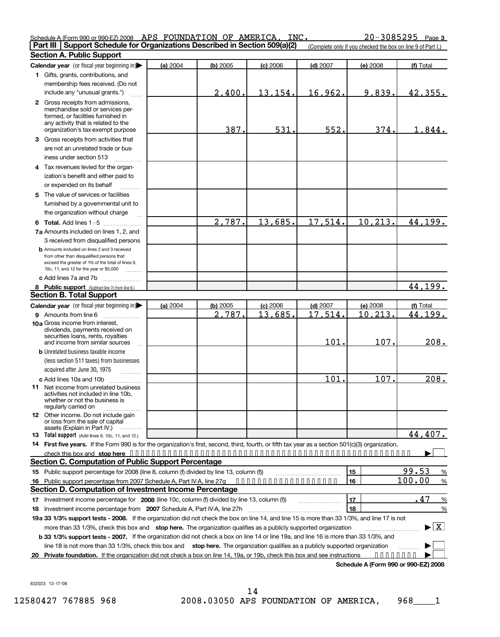| Schedule A (Form 990 or 990-EZ) 2008 APS FOUNDATION OF AMERICA, INC. |  |  | $20 - 3085295$ Page 3                                                                                                                        |
|----------------------------------------------------------------------|--|--|----------------------------------------------------------------------------------------------------------------------------------------------|
|                                                                      |  |  | <b>Part III</b> Support Schedule for Organizations Described in Section 509(a)(2) Complete only if you checked the box on line 9 of Part I.) |

|   | <b>Section A. Public Support</b>                                                                                                                                                                                   |          |          |            |                       |          |                                           |
|---|--------------------------------------------------------------------------------------------------------------------------------------------------------------------------------------------------------------------|----------|----------|------------|-----------------------|----------|-------------------------------------------|
|   | Calendar year (or fiscal year beginning in)                                                                                                                                                                        | (a) 2004 | (b) 2005 | $(c)$ 2006 | $(d)$ 2007            | (e) 2008 | (f) Total                                 |
|   | 1 Gifts, grants, contributions, and                                                                                                                                                                                |          |          |            |                       |          |                                           |
|   | membership fees received. (Do not                                                                                                                                                                                  |          |          |            |                       |          |                                           |
|   | include any "unusual grants.")                                                                                                                                                                                     |          | 2,400    | 13,154.    | 16,962.               | 9,839.   | 42,355.                                   |
|   | 2 Gross receipts from admissions,                                                                                                                                                                                  |          |          |            |                       |          |                                           |
|   | merchandise sold or services per-<br>formed, or facilities furnished in<br>any activity that is related to the                                                                                                     |          |          |            |                       |          |                                           |
|   | organization's tax-exempt purpose                                                                                                                                                                                  |          | 387.     | 531.       | 552.                  | 374.     | 1,844.                                    |
| 3 | Gross receipts from activities that                                                                                                                                                                                |          |          |            |                       |          |                                           |
|   | are not an unrelated trade or bus-<br>iness under section 513                                                                                                                                                      |          |          |            |                       |          |                                           |
|   | 4 Tax revenues levied for the organ-                                                                                                                                                                               |          |          |            |                       |          |                                           |
|   | ization's benefit and either paid to<br>or expended on its behalf                                                                                                                                                  |          |          |            |                       |          |                                           |
|   | 5 The value of services or facilities                                                                                                                                                                              |          |          |            |                       |          |                                           |
|   | furnished by a governmental unit to                                                                                                                                                                                |          |          |            |                       |          |                                           |
|   | the organization without charge                                                                                                                                                                                    |          |          |            |                       |          |                                           |
|   |                                                                                                                                                                                                                    |          | 2,787.   | 13,685.    | 17,514.               | 10,213.  | 44,199.                                   |
|   | 6 Total. Add lines 1 - 5                                                                                                                                                                                           |          |          |            |                       |          |                                           |
|   | 7a Amounts included on lines 1, 2, and                                                                                                                                                                             |          |          |            |                       |          |                                           |
|   | 3 received from disqualified persons                                                                                                                                                                               |          |          |            |                       |          |                                           |
|   | <b>b</b> Amounts included on lines 2 and 3 received<br>from other than disqualified persons that<br>exceed the greater of 1% of the total of lines 9,<br>10c, 11, and 12 for the year or \$5,000<br><b>Barbara</b> |          |          |            |                       |          |                                           |
|   | c Add lines 7a and 7b                                                                                                                                                                                              |          |          |            |                       |          |                                           |
|   | 8 Public support (Subtract line 7c from line 6.)                                                                                                                                                                   |          |          |            |                       |          | 44,199.                                   |
|   | <b>Section B. Total Support</b>                                                                                                                                                                                    |          |          |            |                       |          |                                           |
|   | Calendar year (or fiscal year beginning in)                                                                                                                                                                        | (a) 2004 | (b) 2005 | $(c)$ 2006 | $(d)$ 2007            | (e) 2008 | (f) Total                                 |
|   | 9 Amounts from line 6                                                                                                                                                                                              |          | 2,787.   | 13,685.    | $\overline{17.514}$ . | 10.213.  | 44,199.                                   |
|   | 10a Gross income from interest,                                                                                                                                                                                    |          |          |            |                       |          |                                           |
|   | dividends, payments received on<br>securities loans, rents, royalties<br>and income from similar sources                                                                                                           |          |          |            | 101.                  | 107.     | 208.                                      |
|   | <b>b</b> Unrelated business taxable income                                                                                                                                                                         |          |          |            |                       |          |                                           |
|   | (less section 511 taxes) from businesses<br>acquired after June 30, 1975<br>1.1.1.1.1.1.1.1.1                                                                                                                      |          |          |            |                       |          |                                           |
|   | c Add lines 10a and 10b                                                                                                                                                                                            |          |          |            | 101                   | 107.     | 208.                                      |
|   | <b>11</b> Net income from unrelated business<br>activities not included in line 10b,<br>whether or not the business is<br>regularly carried on                                                                     |          |          |            |                       |          |                                           |
|   | 12 Other income. Do not include gain<br>or loss from the sale of capital<br>.                                                                                                                                      |          |          |            |                       |          |                                           |
|   | assets (Explain in Part IV.)<br><b>13</b> Total support (Add lines 9, 10c, 11, and 12.)                                                                                                                            |          |          |            |                       |          | 44,407.                                   |
|   | 14 First five years. If the Form 990 is for the organization's first, second, third, fourth, or fifth tax year as a section 501(c)(3) organization,                                                                |          |          |            |                       |          |                                           |
|   |                                                                                                                                                                                                                    |          |          |            |                       |          |                                           |
|   | <b>Section C. Computation of Public Support Percentage</b>                                                                                                                                                         |          |          |            |                       |          |                                           |
|   | 15 Public support percentage for 2008 (line 8, column (f) divided by line 13, column (f))                                                                                                                          |          |          |            |                       | 15       | 99.53<br>$\%$                             |
|   | 16 Public support percentage from 2007 Schedule A, Part IV-A, line 27g                                                                                                                                             |          |          |            |                       | 16       | 100.00<br>$\frac{9}{6}$                   |
|   | Section D. Computation of Investment Income Percentage                                                                                                                                                             |          |          |            |                       |          |                                           |
|   | 17 Investment income percentage for 2008 (line 10c, column (f) divided by line 13, column (f))                                                                                                                     |          |          |            |                       | 17       | .47<br>%                                  |
|   | 18 Investment income percentage from 2007 Schedule A, Part IV-A, line 27h                                                                                                                                          |          |          |            |                       | 18       | %                                         |
|   | 19a 33 1/3% support tests - 2008. If the organization did not check the box on line 14, and line 15 is more than 33 1/3%, and line 17 is not                                                                       |          |          |            |                       |          |                                           |
|   | more than 33 1/3%, check this box and stop here. The organization qualifies as a publicly supported organization                                                                                                   |          |          |            |                       |          | $\blacktriangleright$ $\lfloor x \rfloor$ |
|   | b 33 1/3% support tests - 2007. If the organization did not check a box on line 14 or line 19a, and line 16 is more than 33 1/3%, and                                                                              |          |          |            |                       |          |                                           |
|   | line 18 is not more than 33 1/3%, check this box and stop here. The organization qualifies as a publicly supported organization                                                                                    |          |          |            |                       |          |                                           |
|   | 20 Private foundation. If the organization did not check a box on line 14, 19a, or 19b, check this box and see instructions                                                                                        |          |          |            |                       |          |                                           |
|   |                                                                                                                                                                                                                    |          |          |            |                       |          |                                           |

**Schedule A (Form 990 or 990-EZ) 2008**

832023 12-17-08

12580427 767885 968 2008.03050 APS FOUNDATION OF AMERICA, 968\_\_\_\_1 14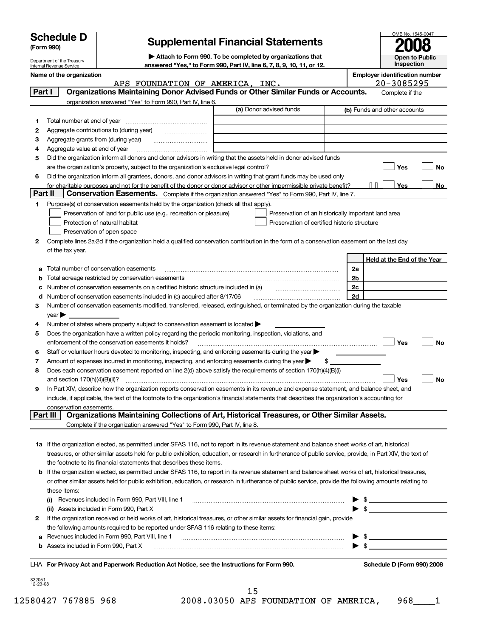| (Form 990) |                                                                                                                                                             |                                                           |  |                                                                           |                         | <b>Supplemental Financial Statements</b>                                                          |    |                 |                       |                              |                                              |
|------------|-------------------------------------------------------------------------------------------------------------------------------------------------------------|-----------------------------------------------------------|--|---------------------------------------------------------------------------|-------------------------|---------------------------------------------------------------------------------------------------|----|-----------------|-----------------------|------------------------------|----------------------------------------------|
|            |                                                                                                                                                             |                                                           |  |                                                                           |                         |                                                                                                   |    |                 |                       |                              |                                              |
|            | Department of the Treasury                                                                                                                                  |                                                           |  | Attach to Form 990. To be completed by organizations that                 |                         |                                                                                                   |    | Inspection      | <b>Open to Public</b> |                              |                                              |
|            | Internal Revenue Service<br>Name of the organization                                                                                                        |                                                           |  | answered "Yes," to Form 990, Part IV, line 6, 7, 8, 9, 10, 11, or 12.     |                         |                                                                                                   |    |                 |                       |                              | <b>Employer identification number</b>        |
|            |                                                                                                                                                             |                                                           |  | APS FOUNDATION OF AMERICA, INC.                                           |                         |                                                                                                   |    |                 |                       | 20-3085295                   |                                              |
| Part I     |                                                                                                                                                             |                                                           |  |                                                                           |                         | Organizations Maintaining Donor Advised Funds or Other Similar Funds or Accounts.                 |    |                 |                       | Complete if the              |                                              |
|            |                                                                                                                                                             | organization answered "Yes" to Form 990, Part IV, line 6. |  |                                                                           |                         |                                                                                                   |    |                 |                       |                              |                                              |
|            |                                                                                                                                                             |                                                           |  |                                                                           | (a) Donor advised funds |                                                                                                   |    |                 |                       | (b) Funds and other accounts |                                              |
| 1          |                                                                                                                                                             |                                                           |  |                                                                           |                         |                                                                                                   |    |                 |                       |                              |                                              |
| 2<br>з     | Aggregate contributions to (during year)<br>Aggregate grants from (during year)                                                                             |                                                           |  |                                                                           |                         |                                                                                                   |    |                 |                       |                              |                                              |
| 4          | Aggregate value at end of year                                                                                                                              |                                                           |  |                                                                           |                         |                                                                                                   |    |                 |                       |                              |                                              |
| 5          | Did the organization inform all donors and donor advisors in writing that the assets held in donor advised funds                                            |                                                           |  |                                                                           |                         |                                                                                                   |    |                 |                       |                              |                                              |
|            | are the organization's property, subject to the organization's exclusive legal control?                                                                     |                                                           |  |                                                                           |                         |                                                                                                   |    |                 |                       | Yes                          | No                                           |
| 6          | Did the organization inform all grantees, donors, and donor advisors in writing that grant funds may be used only                                           |                                                           |  |                                                                           |                         |                                                                                                   |    |                 |                       |                              |                                              |
|            | for charitable purposes and not for the benefit of the donor or donor advisor or other impermissible private benefit?                                       |                                                           |  |                                                                           |                         |                                                                                                   |    |                 |                       | Yes                          | No                                           |
| Part II    |                                                                                                                                                             |                                                           |  |                                                                           |                         | Conservation Easements. Complete if the organization answered "Yes" to Form 990, Part IV, line 7. |    |                 |                       |                              |                                              |
| 1          | Purpose(s) of conservation easements held by the organization (check all that apply).                                                                       |                                                           |  |                                                                           |                         |                                                                                                   |    |                 |                       |                              |                                              |
|            | Preservation of land for public use (e.g., recreation or pleasure)                                                                                          |                                                           |  |                                                                           |                         | Preservation of an historically important land area                                               |    |                 |                       |                              |                                              |
|            | Protection of natural habitat                                                                                                                               |                                                           |  |                                                                           |                         | Preservation of certified historic structure                                                      |    |                 |                       |                              |                                              |
|            | Preservation of open space                                                                                                                                  |                                                           |  |                                                                           |                         |                                                                                                   |    |                 |                       |                              |                                              |
| 2          | Complete lines 2a-2d if the organization held a qualified conservation contribution in the form of a conservation easement on the last day                  |                                                           |  |                                                                           |                         |                                                                                                   |    |                 |                       |                              |                                              |
|            | of the tax year.                                                                                                                                            |                                                           |  |                                                                           |                         |                                                                                                   |    |                 |                       |                              |                                              |
|            | Total number of conservation easements                                                                                                                      |                                                           |  |                                                                           |                         |                                                                                                   |    |                 |                       |                              | Held at the End of the Year                  |
| b          | Total acreage restricted by conservation easements                                                                                                          |                                                           |  |                                                                           |                         |                                                                                                   |    | <u>2a</u><br>2b |                       |                              |                                              |
| c          | Number of conservation easements on a certified historic structure included in (a)                                                                          |                                                           |  |                                                                           |                         |                                                                                                   |    | <u>2c</u>       |                       |                              |                                              |
| d          | Number of conservation easements included in (c) acquired after 8/17/06                                                                                     |                                                           |  |                                                                           |                         |                                                                                                   |    | 2d              |                       |                              |                                              |
| 3          | Number of conservation easements modified, transferred, released, extinguished, or terminated by the organization during the taxable                        |                                                           |  |                                                                           |                         |                                                                                                   |    |                 |                       |                              |                                              |
|            | year                                                                                                                                                        |                                                           |  |                                                                           |                         |                                                                                                   |    |                 |                       |                              |                                              |
| 4          | Number of states where property subject to conservation easement is located >                                                                               |                                                           |  |                                                                           |                         |                                                                                                   |    |                 |                       |                              |                                              |
| 5          | Does the organization have a written policy regarding the periodic monitoring, inspection, violations, and                                                  |                                                           |  |                                                                           |                         |                                                                                                   |    |                 |                       |                              |                                              |
|            | enforcement of the conservation easements it holds?                                                                                                         |                                                           |  |                                                                           |                         |                                                                                                   |    |                 |                       | Yes                          | <b>No</b>                                    |
| 6          | Staff or volunteer hours devoted to monitoring, inspecting, and enforcing easements during the year                                                         |                                                           |  |                                                                           |                         |                                                                                                   |    |                 |                       |                              |                                              |
| 7          | Amount of expenses incurred in monitoring, inspecting, and enforcing easements during the year                                                              |                                                           |  |                                                                           |                         |                                                                                                   | \$ |                 |                       |                              |                                              |
| 8          | Does each conservation easement reported on line 2(d) above satisfy the requirements of section 170(h)(4)(B)(i)                                             |                                                           |  |                                                                           |                         |                                                                                                   |    |                 |                       |                              |                                              |
|            | and section $170(h)(4)(B)(ii)?$                                                                                                                             |                                                           |  |                                                                           |                         |                                                                                                   |    |                 |                       | Yes                          | No                                           |
| 9          | In Part XIV, describe how the organization reports conservation easements in its revenue and expense statement, and balance sheet, and                      |                                                           |  |                                                                           |                         |                                                                                                   |    |                 |                       |                              |                                              |
|            | include, if applicable, the text of the footnote to the organization's financial statements that describes the organization's accounting for                |                                                           |  |                                                                           |                         |                                                                                                   |    |                 |                       |                              |                                              |
| Part III   | conservation easements.                                                                                                                                     |                                                           |  |                                                                           |                         | Organizations Maintaining Collections of Art, Historical Treasures, or Other Similar Assets.      |    |                 |                       |                              |                                              |
|            |                                                                                                                                                             |                                                           |  | Complete if the organization answered "Yes" to Form 990, Part IV, line 8. |                         |                                                                                                   |    |                 |                       |                              |                                              |
|            |                                                                                                                                                             |                                                           |  |                                                                           |                         |                                                                                                   |    |                 |                       |                              |                                              |
|            | 1a If the organization elected, as permitted under SFAS 116, not to report in its revenue statement and balance sheet works of art, historical              |                                                           |  |                                                                           |                         |                                                                                                   |    |                 |                       |                              |                                              |
|            | treasures, or other similar assets held for public exhibition, education, or research in furtherance of public service, provide, in Part XIV, the text of   |                                                           |  |                                                                           |                         |                                                                                                   |    |                 |                       |                              |                                              |
|            | the footnote to its financial statements that describes these items.                                                                                        |                                                           |  |                                                                           |                         |                                                                                                   |    |                 |                       |                              |                                              |
|            | <b>b</b> If the organization elected, as permitted under SFAS 116, to report in its revenue statement and balance sheet works of art, historical treasures, |                                                           |  |                                                                           |                         |                                                                                                   |    |                 |                       |                              |                                              |
|            | or other similar assets held for public exhibition, education, or research in furtherance of public service, provide the following amounts relating to      |                                                           |  |                                                                           |                         |                                                                                                   |    |                 |                       |                              |                                              |
|            | these items:                                                                                                                                                |                                                           |  |                                                                           |                         |                                                                                                   |    |                 |                       |                              |                                              |
|            | Revenues included in Form 990, Part VIII, line 1<br>(i)                                                                                                     |                                                           |  |                                                                           |                         |                                                                                                   |    |                 |                       |                              |                                              |
|            | (ii) Assets included in Form 990, Part X                                                                                                                    |                                                           |  |                                                                           |                         |                                                                                                   |    |                 | \$                    |                              |                                              |
| 2          | If the organization received or held works of art, historical treasures, or other similar assets for financial gain, provide                                |                                                           |  |                                                                           |                         |                                                                                                   |    |                 |                       |                              |                                              |
|            | the following amounts required to be reported under SFAS 116 relating to these items:                                                                       |                                                           |  |                                                                           |                         |                                                                                                   |    |                 |                       |                              |                                              |
| а          | Revenues included in Form 990, Part VIII, line 1                                                                                                            |                                                           |  |                                                                           |                         |                                                                                                   |    |                 |                       |                              | <u> 1980 - Andrea Andrew Maria (b. 1980)</u> |
| b          | Assets included in Form 990, Part X                                                                                                                         |                                                           |  |                                                                           |                         |                                                                                                   |    |                 |                       |                              |                                              |
|            |                                                                                                                                                             |                                                           |  |                                                                           |                         |                                                                                                   |    |                 |                       |                              |                                              |
|            | LHA For Privacy Act and Paperwork Reduction Act Notice, see the Instructions for Form 990.                                                                  |                                                           |  |                                                                           |                         |                                                                                                   |    |                 |                       |                              | Schedule D (Form 990) 2008                   |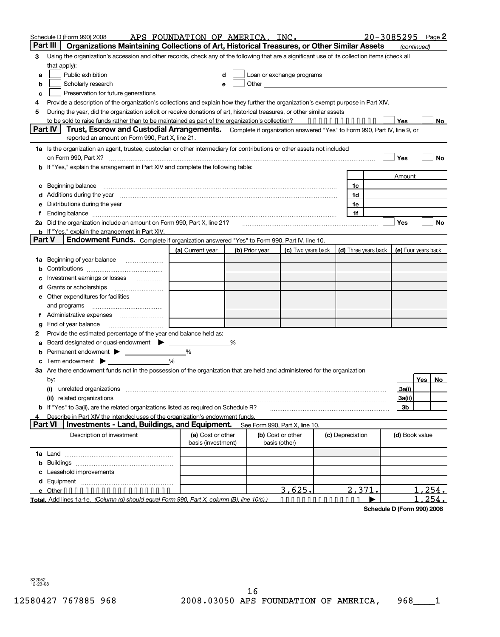|                | Schedule D (Form 990) 2008                                                                                                                                                                                                     | APS FOUNDATION OF AMERICA, INC. |   |                |                                |                      | 20-3085295          | Page 2    |
|----------------|--------------------------------------------------------------------------------------------------------------------------------------------------------------------------------------------------------------------------------|---------------------------------|---|----------------|--------------------------------|----------------------|---------------------|-----------|
| Part III       | Organizations Maintaining Collections of Art, Historical Treasures, or Other Similar Assets                                                                                                                                    |                                 |   |                |                                |                      | (continued)         |           |
| 3              | Using the organization's accession and other records, check any of the following that are a significant use of its collection items (check all                                                                                 |                                 |   |                |                                |                      |                     |           |
|                | that apply):                                                                                                                                                                                                                   |                                 |   |                |                                |                      |                     |           |
| a              | Public exhibition                                                                                                                                                                                                              | d                               |   |                | Loan or exchange programs      |                      |                     |           |
| b              | Scholarly research                                                                                                                                                                                                             | e                               |   |                |                                |                      |                     |           |
| c              | Preservation for future generations                                                                                                                                                                                            |                                 |   |                |                                |                      |                     |           |
| 4              | Provide a description of the organization's collections and explain how they further the organization's exempt purpose in Part XIV.                                                                                            |                                 |   |                |                                |                      |                     |           |
| 5              | During the year, did the organization solicit or receive donations of art, historical treasures, or other similar assets                                                                                                       |                                 |   |                |                                |                      |                     |           |
|                | to be sold to raise funds rather than to be maintained as part of the organization's collection? ••••••••••••••                                                                                                                |                                 |   |                |                                |                      | Yes                 | No.       |
|                | Part IV   Trust, Escrow and Custodial Arrangements. Complete if organization answered "Yes" to Form 990, Part IV, line 9, or                                                                                                   |                                 |   |                |                                |                      |                     |           |
|                | reported an amount on Form 990, Part X, line 21.                                                                                                                                                                               |                                 |   |                |                                |                      |                     |           |
|                | 1a Is the organization an agent, trustee, custodian or other intermediary for contributions or other assets not included                                                                                                       |                                 |   |                |                                |                      |                     |           |
|                |                                                                                                                                                                                                                                |                                 |   |                |                                |                      | Yes                 | <b>No</b> |
|                | If "Yes," explain the arrangement in Part XIV and complete the following table:                                                                                                                                                |                                 |   |                |                                |                      |                     |           |
|                |                                                                                                                                                                                                                                |                                 |   |                |                                |                      |                     |           |
|                |                                                                                                                                                                                                                                |                                 |   |                |                                |                      | Amount              |           |
| с              | Beginning balance                                                                                                                                                                                                              |                                 |   |                |                                | 1c                   |                     |           |
|                | Additions during the year manufactured and an experimental contract of the year manufactured and all the year                                                                                                                  |                                 |   |                |                                | 1d                   |                     |           |
| е              | Distributions during the year manufactured and continuum and the year manufactured and the year manufactured and the year manufactured and the year manufactured and the year manufactured and the year manufactured and the y |                                 |   |                |                                | 1e                   |                     |           |
| f.             |                                                                                                                                                                                                                                |                                 |   |                |                                | 1f                   |                     |           |
|                | 2a Did the organization include an amount on Form 990, Part X, line 21?<br>20 minuwa material content content content content content content and content and content and amount of the c                                      |                                 |   |                |                                |                      | Yes                 | <b>No</b> |
|                | <b>b</b> If "Yes," explain the arrangement in Part XIV.                                                                                                                                                                        |                                 |   |                |                                |                      |                     |           |
| Part V         | <b>Endowment Funds.</b> Complete if organization answered "Yes" to Form 990, Part IV, line 10.                                                                                                                                 |                                 |   |                |                                |                      |                     |           |
|                |                                                                                                                                                                                                                                | (a) Current year                |   | (b) Prior year | (c) Two years back             | (d) Three years back | (e) Four years back |           |
|                | <b>1a</b> Beginning of year balance <i>manument</i> is a set of the set of the Beginning of year balance                                                                                                                       |                                 |   |                |                                |                      |                     |           |
| b              |                                                                                                                                                                                                                                |                                 |   |                |                                |                      |                     |           |
|                | Investment earnings or losses                                                                                                                                                                                                  |                                 |   |                |                                |                      |                     |           |
| d              | Grants or scholarships                                                                                                                                                                                                         |                                 |   |                |                                |                      |                     |           |
|                | e Other expenditures for facilities                                                                                                                                                                                            |                                 |   |                |                                |                      |                     |           |
|                | and programs                                                                                                                                                                                                                   |                                 |   |                |                                |                      |                     |           |
| f.             |                                                                                                                                                                                                                                |                                 |   |                |                                |                      |                     |           |
| g              | End of year balance                                                                                                                                                                                                            |                                 |   |                |                                |                      |                     |           |
| 2              | Provide the estimated percentage of the year end balance held as:                                                                                                                                                              |                                 |   |                |                                |                      |                     |           |
| a              | Board designated or quasi-endowment > ______                                                                                                                                                                                   |                                 | % |                |                                |                      |                     |           |
| b              |                                                                                                                                                                                                                                | %                               |   |                |                                |                      |                     |           |
|                |                                                                                                                                                                                                                                | %                               |   |                |                                |                      |                     |           |
|                | 3a Are there endowment funds not in the possession of the organization that are held and administered for the organization                                                                                                     |                                 |   |                |                                |                      |                     |           |
|                | by:                                                                                                                                                                                                                            |                                 |   |                |                                |                      |                     | Yes No    |
|                | unrelated organizations [11] material contracts and contracts and contracts are the contracts of the contracts<br>(i)                                                                                                          |                                 |   |                |                                |                      | 3a(i)               |           |
|                | (ii) related organizations                                                                                                                                                                                                     |                                 |   |                |                                |                      | 3a(ii)              |           |
|                | b If "Yes" to 3a(ii), are the related organizations listed as required on Schedule R?                                                                                                                                          |                                 |   |                |                                |                      | 3b                  |           |
|                | Describe in Part XIV the intended uses of the organization's endowment funds.                                                                                                                                                  |                                 |   |                |                                |                      |                     |           |
| <b>Part VI</b> | <b>Investments - Land, Buildings, and Equipment.</b>                                                                                                                                                                           |                                 |   |                | See Form 990, Part X, line 10. |                      |                     |           |
|                | Description of investment                                                                                                                                                                                                      | (a) Cost or other               |   |                | (b) Cost or other              | (c) Depreciation     | (d) Book value      |           |
|                |                                                                                                                                                                                                                                | basis (investment)              |   |                | basis (other)                  |                      |                     |           |
|                |                                                                                                                                                                                                                                |                                 |   |                |                                |                      |                     |           |
|                |                                                                                                                                                                                                                                |                                 |   |                |                                |                      |                     |           |
|                |                                                                                                                                                                                                                                |                                 |   |                |                                |                      |                     |           |
|                |                                                                                                                                                                                                                                |                                 |   |                |                                |                      |                     |           |
|                |                                                                                                                                                                                                                                |                                 |   |                |                                |                      |                     |           |
|                | e Other                                                                                                                                                                                                                        |                                 |   |                | 3,625.                         | 2,371.               |                     | 1,254.    |

**Total.** Add lines 1a-1e. *(Column (d) should equal Form 990, Part X, column (B), line 10(c).)* ••••••••••••••• |

**Schedule D (Form 990) 2008**

<u>1,254.</u>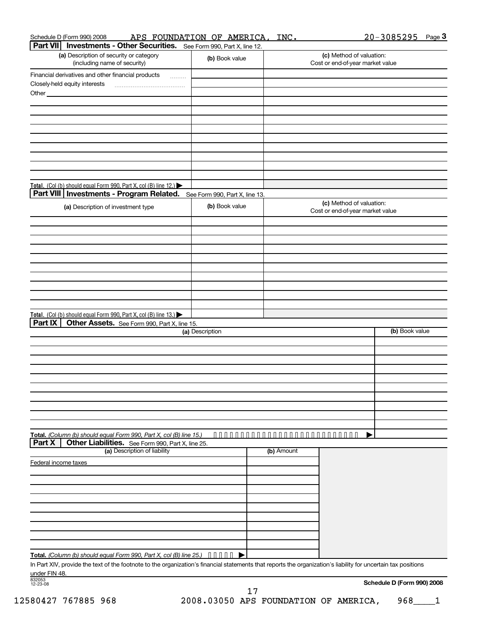| Schedule D (Form 990) 2008                      | APS | FOUNDATION OF | AMERICA,                      | INC. | 3085295<br>20- | Page 3 |
|-------------------------------------------------|-----|---------------|-------------------------------|------|----------------|--------|
| <b>Dart VII Investments - Other Securities.</b> |     |               | - See Form 990 Part X line 12 |      |                |        |

| .<br><b>INVESCRIPTIES</b> Other Ocourries: See Form 330, Part A, line 12.                                                                                      |                                |            |                                                              |                            |
|----------------------------------------------------------------------------------------------------------------------------------------------------------------|--------------------------------|------------|--------------------------------------------------------------|----------------------------|
| (a) Description of security or category<br>(including name of security)                                                                                        | (b) Book value                 |            | (c) Method of valuation:<br>Cost or end-of-year market value |                            |
| Financial derivatives and other financial products                                                                                                             |                                |            |                                                              |                            |
| .<br>Closely-held equity interests                                                                                                                             |                                |            |                                                              |                            |
| Other_                                                                                                                                                         |                                |            |                                                              |                            |
|                                                                                                                                                                |                                |            |                                                              |                            |
|                                                                                                                                                                |                                |            |                                                              |                            |
|                                                                                                                                                                |                                |            |                                                              |                            |
|                                                                                                                                                                |                                |            |                                                              |                            |
|                                                                                                                                                                |                                |            |                                                              |                            |
|                                                                                                                                                                |                                |            |                                                              |                            |
|                                                                                                                                                                |                                |            |                                                              |                            |
|                                                                                                                                                                |                                |            |                                                              |                            |
| Total. (Col (b) should equal Form 990, Part X, col (B) line 12.)                                                                                               |                                |            |                                                              |                            |
| Part VIII   Investments - Program Related.                                                                                                                     | See Form 990, Part X, line 13. |            | (c) Method of valuation:                                     |                            |
| (a) Description of investment type                                                                                                                             | (b) Book value                 |            | Cost or end-of-year market value                             |                            |
|                                                                                                                                                                |                                |            |                                                              |                            |
|                                                                                                                                                                |                                |            |                                                              |                            |
|                                                                                                                                                                |                                |            |                                                              |                            |
|                                                                                                                                                                |                                |            |                                                              |                            |
|                                                                                                                                                                |                                |            |                                                              |                            |
|                                                                                                                                                                |                                |            |                                                              |                            |
|                                                                                                                                                                |                                |            |                                                              |                            |
|                                                                                                                                                                |                                |            |                                                              |                            |
|                                                                                                                                                                |                                |            |                                                              |                            |
| Total. (Col (b) should equal Form 990, Part X, col (B) line 13.)<br>Part IX                                                                                    |                                |            |                                                              |                            |
| Other Assets. See Form 990, Part X, line 15.                                                                                                                   | (a) Description                |            |                                                              | (b) Book value             |
|                                                                                                                                                                |                                |            |                                                              |                            |
|                                                                                                                                                                |                                |            |                                                              |                            |
|                                                                                                                                                                |                                |            |                                                              |                            |
|                                                                                                                                                                |                                |            |                                                              |                            |
|                                                                                                                                                                |                                |            |                                                              |                            |
|                                                                                                                                                                |                                |            |                                                              |                            |
|                                                                                                                                                                |                                |            |                                                              |                            |
|                                                                                                                                                                |                                |            |                                                              |                            |
|                                                                                                                                                                |                                |            |                                                              |                            |
| Total. (Column (b) should equal Form 990, Part X, col (B) line 15.)                                                                                            | .                              |            | .                                                            |                            |
| Other Liabilities. See Form 990, Part X, line 25.<br>Part X                                                                                                    |                                |            |                                                              |                            |
| (a) Description of liability                                                                                                                                   |                                | (b) Amount |                                                              |                            |
| Federal income taxes                                                                                                                                           |                                |            |                                                              |                            |
|                                                                                                                                                                |                                |            |                                                              |                            |
|                                                                                                                                                                |                                |            |                                                              |                            |
|                                                                                                                                                                |                                |            |                                                              |                            |
|                                                                                                                                                                |                                |            |                                                              |                            |
|                                                                                                                                                                |                                |            |                                                              |                            |
|                                                                                                                                                                |                                |            |                                                              |                            |
|                                                                                                                                                                |                                |            |                                                              |                            |
| Total. (Column (b) should equal Form 990, Part X, col (B) line 25.)                                                                                            |                                |            |                                                              |                            |
| In Part XIV, provide the text of the footnote to the organization's financial statements that reports the organization's liability for uncertain tax positions |                                |            |                                                              |                            |
| under FIN 48.                                                                                                                                                  |                                |            |                                                              |                            |
| 832053<br>12-23-08                                                                                                                                             |                                |            |                                                              | Schedule D (Form 990) 2008 |
|                                                                                                                                                                | 17                             |            |                                                              |                            |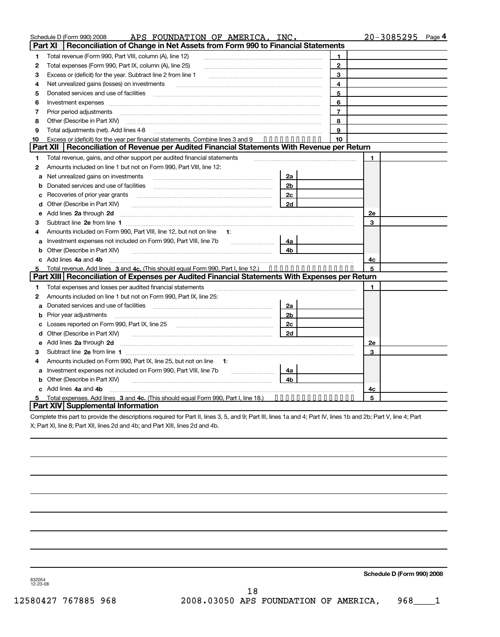|         | APS FOUNDATION OF AMERICA, INC.<br>Schedule D (Form 990) 2008                                                                                                                                                                  |                |                |    | $20 - 3085295$ Page 4 |
|---------|--------------------------------------------------------------------------------------------------------------------------------------------------------------------------------------------------------------------------------|----------------|----------------|----|-----------------------|
| Part XI | Reconciliation of Change in Net Assets from Form 990 to Financial Statements                                                                                                                                                   |                |                |    |                       |
| 1       | Total revenue (Form 990, Part VIII, column (A), line 12)                                                                                                                                                                       |                | 1              |    |                       |
| 2       | Total expenses (Form 990, Part IX, column (A), line 25)                                                                                                                                                                        |                | $\mathbf{2}$   |    |                       |
| З       | Excess or (deficit) for the year. Subtract line 2 from line 1                                                                                                                                                                  |                | 3              |    |                       |
| 4       | Net unrealized gains (losses) on investments                                                                                                                                                                                   |                | 4              |    |                       |
| 5       | Donated services and use of facilities                                                                                                                                                                                         |                | 5              |    |                       |
| 6       | Investment expenses with an according to the contract of the state of the contract of the contract of the contract of the contract of the contract of the contract of the contract of the contract of the contract of the cont |                | 6              |    |                       |
| 7       | Prior period adjustments                                                                                                                                                                                                       |                | $\overline{7}$ |    |                       |
| 8       | Other (Describe in Part XIV)                                                                                                                                                                                                   |                | 8              |    |                       |
| 9       | Total adjustments (net). Add lines 4-8                                                                                                                                                                                         |                | 9              |    |                       |
| 10      | Excess or (deficit) for the year per financial statements. Combine lines 3 and 9                                                                                                                                               |                | 10             |    |                       |
|         | Part XII   Reconciliation of Revenue per Audited Financial Statements With Revenue per Return                                                                                                                                  |                |                |    |                       |
| 1       | Total revenue, gains, and other support per audited financial statements                                                                                                                                                       |                |                | 1  |                       |
| 2       | Amounts included on line 1 but not on Form 990, Part VIII, line 12:                                                                                                                                                            |                |                |    |                       |
| a       | Net unrealized gains on investments                                                                                                                                                                                            | 2a             |                |    |                       |
| b       | Donated services and use of facilities                                                                                                                                                                                         | 2 <sub>b</sub> |                |    |                       |
| с       | Recoveries of prior year grants                                                                                                                                                                                                | 2c             |                |    |                       |
| d       | Other (Describe in Part XIV)                                                                                                                                                                                                   | 2d             |                |    |                       |
| е       | Add lines 2a through 2d                                                                                                                                                                                                        |                |                | 2e |                       |
| з       | Subtract line 2e from line 1                                                                                                                                                                                                   |                |                | 3  |                       |
| 4       | Amounts included on Form 990, Part VIII, line 12, but not on line<br>$\mathbf{1}$ :                                                                                                                                            |                |                |    |                       |
| a       | Investment expenses not included on Form 990, Part VIII, line 7b                                                                                                                                                               | 4a             |                |    |                       |
| b       | Other (Describe in Part XIV)                                                                                                                                                                                                   | 4b             |                |    |                       |
|         | c Add lines 4a and 4b                                                                                                                                                                                                          |                |                | 4c |                       |
|         | Total revenue. Add lines 3 and 4c. (This should equal Form 990, Part I, line 12.)                                                                                                                                              |                |                | 5  |                       |
|         | Part XIII   Reconciliation of Expenses per Audited Financial Statements With Expenses per Return                                                                                                                               |                |                |    |                       |
| 1       | Total expenses and losses per audited financial statements                                                                                                                                                                     |                |                | 1  |                       |
| 2       | Amounts included on line 1 but not on Form 990, Part IX, line 25:                                                                                                                                                              |                |                |    |                       |
| a       | Donated services and use of facilities                                                                                                                                                                                         | 2a             |                |    |                       |
| b       | Prior year adjustments                                                                                                                                                                                                         | 2 <sub>b</sub> |                |    |                       |
| с       | Losses reported on Form 990, Part IX, line 25                                                                                                                                                                                  | 2c             |                |    |                       |
| d       | Other (Describe in Part XIV)                                                                                                                                                                                                   | 2d             |                |    |                       |
| е       | Add lines 2a through 2d                                                                                                                                                                                                        |                |                | 2e |                       |
| з       | Subtract line 2e from line 1                                                                                                                                                                                                   |                |                | 3  |                       |
|         | Amounts included on Form 990, Part IX, line 25, but not on line<br>$\blacksquare$                                                                                                                                              |                |                |    |                       |
| a       | Investment expenses not included on Form 990, Part VIII, line 7b                                                                                                                                                               | 4a             |                |    |                       |
|         | <b>b</b> Other (Describe in Part XIV)                                                                                                                                                                                          | 4b             |                |    |                       |
| с       | Add lines 4a and 4b                                                                                                                                                                                                            |                |                | 4c |                       |
| 5.      | Total expenses. Add lines 3 and 4c. (This should equal Form 990, Part I, line 18.)                                                                                                                                             | .              |                | 5  |                       |
|         | Part XIV Supplemental Information                                                                                                                                                                                              |                |                |    |                       |
|         | Complete this part to provide the descriptions required for Part II, lines 3, 5, and 9; Part III, lines 1a and 4; Part IV, lines 1b and 2b; Part V, line 4; Part                                                               |                |                |    |                       |
|         | X; Part XI, line 8; Part XII, lines 2d and 4b; and Part XIII, lines 2d and 4b.                                                                                                                                                 |                |                |    |                       |

832054 12-23-08

**Schedule D (Form 990) 2008**

18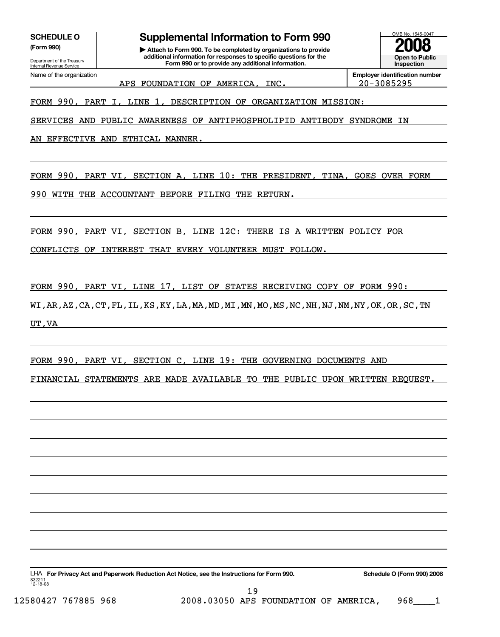Department of the Treasury<br>Internal Revenue Service

## SCHEDULE O **Supplemental Information to Form 990** MB No. 1545-0047

**(Form 990) | Attach to Form 990. To be completed by organizations to provide 2008 additional information for responses to specific questions for the Form 990 or to provide any additional information.**<br> **Internal Revenue Service Inspection Inspection Form 990 or to provide any additional information.** 



APS FOUNDATION OF AMERICA, INC. 20-3085295

Name of the organization **Employer identification number Employer identification number Employer identification number** 

FORM 990, PART I, LINE 1, DESCRIPTION OF ORGANIZATION MISSION:

SERVICES AND PUBLIC AWARENESS OF ANTIPHOSPHOLIPID ANTIBODY SYNDROME IN

AN EFFECTIVE AND ETHICAL MANNER.

FORM 990, PART VI, SECTION A, LINE 10: THE PRESIDENT, TINA, GOES OVER FORM

990 WITH THE ACCOUNTANT BEFORE FILING THE RETURN.

FORM 990, PART VI, SECTION B, LINE 12C: THERE IS A WRITTEN POLICY FOR

CONFLICTS OF INTEREST THAT EVERY VOLUNTEER MUST FOLLOW.

FORM 990, PART VI, LINE 17, LIST OF STATES RECEIVING COPY OF FORM 990:

WI,AR,AZ,CA,CT,FL,IL,KS,KY,LA,MA,MD,MI,MN,MO,MS,NC,NH,NJ,NM,NY,OK,OR,SC,TN UT,VA

FORM 990, PART VI, SECTION C, LINE 19: THE GOVERNING DOCUMENTS AND

FINANCIAL STATEMENTS ARE MADE AVAILABLE TO THE PUBLIC UPON WRITTEN REQUEST.

LHA **For Privacy Act and Paperwork Reduction Act Notice, see the Instructions for Form 990. Schedule O (Form 990) 2008** 832211 12-18-08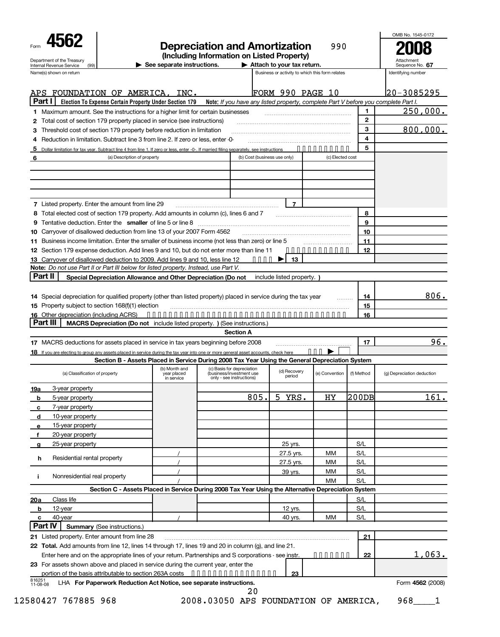| See separate instructions.<br>(99)<br>Internal Revenue Service<br>Name(s) shown on return<br>APS FOUNDATION OF AMERICA, INC.<br>Part I<br>Election To Expense Certain Property Under Section 179 Note: If you have any listed property, complete Part V before you complete Part I.<br>1 Maximum amount. See the instructions for a higher limit for certain businesses<br>Total cost of section 179 property placed in service (see instructions)<br>2<br>Threshold cost of section 179 property before reduction in limitation<br>З<br>Reduction in limitation. Subtract line 3 from line 2. If zero or less, enter -0-<br>4<br>5<br>Dollar limitation for tax year. Subtract line 4 from line 1. If zero or less, enter -0-. If married filing separately, see instructions<br>(a) Description of property<br>6<br>7 Listed property. Enter the amount from line 29<br>Total elected cost of section 179 property. Add amounts in column (c), lines 6 and 7<br>8<br>9<br>Carryover of disallowed deduction from line 13 of your 2007 Form 4562<br>10<br>Business income limitation. Enter the smaller of business income (not less than zero) or line 5<br>12 Section 179 expense deduction. Add lines 9 and 10, but do not enter more than line 11<br>13 Carryover of disallowed deduction to 2009. Add lines 9 and 10, less line 12<br>Note: Do not use Part II or Part III below for listed property. Instead, use Part V.<br>Part II<br>Special Depreciation Allowance and Other Depreciation (Do not include listed property.)<br>14 Special depreciation for qualified property (other than listed property) placed in service during the tax year<br>15 Property subject to section 168(f)(1) election<br>Part III<br><b>MACRS Depreciation (Do not</b> include listed property. ) (See instructions.)<br><b>Section A</b><br>17 MACRS deductions for assets placed in service in tax years beginning before 2008<br>18 If you are electing to group any assets placed in service during the tax year into one or more general asset accounts, check here<br>Section B - Assets Placed in Service During 2008 Tax Year Using the General Depreciation System<br>(b) Month and (c) Basis for depreciation<br>(a) Classification of property<br>year placed<br>(business/investment use<br>in service<br>only - see instructions)<br>3-year property<br>19a | Attach to your tax return.<br>FORM 990 PAGE 10<br>(b) Cost (business use only)<br>$\bullet\hspace{0.1cm} \bullet\hspace{0.1cm}\bullet\hspace{0.1cm}\bullet\hspace{0.1cm}\bullet\hspace{0.1cm}$ | $\overline{7}$<br>13 | Business or activity to which this form relates<br>.<br>(c) Elected cost<br><u>.</u> | $\mathbf{1}$<br>$\mathbf{2}$<br>3<br>4<br>5<br>8<br>9<br>10<br>11<br>12<br>14<br>15<br>16<br>17 | Sequence No. 67<br>Identifying number<br>20-3085295<br>250,000.<br>800,000.<br>806.<br>96. |
|---------------------------------------------------------------------------------------------------------------------------------------------------------------------------------------------------------------------------------------------------------------------------------------------------------------------------------------------------------------------------------------------------------------------------------------------------------------------------------------------------------------------------------------------------------------------------------------------------------------------------------------------------------------------------------------------------------------------------------------------------------------------------------------------------------------------------------------------------------------------------------------------------------------------------------------------------------------------------------------------------------------------------------------------------------------------------------------------------------------------------------------------------------------------------------------------------------------------------------------------------------------------------------------------------------------------------------------------------------------------------------------------------------------------------------------------------------------------------------------------------------------------------------------------------------------------------------------------------------------------------------------------------------------------------------------------------------------------------------------------------------------------------------------------------------------------------------------------------------------------------------------------------------------------------------------------------------------------------------------------------------------------------------------------------------------------------------------------------------------------------------------------------------------------------------------------------------------------------------------------------------------------------------------------------------------------------------------------------------------------|------------------------------------------------------------------------------------------------------------------------------------------------------------------------------------------------|----------------------|--------------------------------------------------------------------------------------|-------------------------------------------------------------------------------------------------|--------------------------------------------------------------------------------------------|
|                                                                                                                                                                                                                                                                                                                                                                                                                                                                                                                                                                                                                                                                                                                                                                                                                                                                                                                                                                                                                                                                                                                                                                                                                                                                                                                                                                                                                                                                                                                                                                                                                                                                                                                                                                                                                                                                                                                                                                                                                                                                                                                                                                                                                                                                                                                                                                     |                                                                                                                                                                                                |                      |                                                                                      |                                                                                                 |                                                                                            |
|                                                                                                                                                                                                                                                                                                                                                                                                                                                                                                                                                                                                                                                                                                                                                                                                                                                                                                                                                                                                                                                                                                                                                                                                                                                                                                                                                                                                                                                                                                                                                                                                                                                                                                                                                                                                                                                                                                                                                                                                                                                                                                                                                                                                                                                                                                                                                                     |                                                                                                                                                                                                |                      |                                                                                      |                                                                                                 |                                                                                            |
|                                                                                                                                                                                                                                                                                                                                                                                                                                                                                                                                                                                                                                                                                                                                                                                                                                                                                                                                                                                                                                                                                                                                                                                                                                                                                                                                                                                                                                                                                                                                                                                                                                                                                                                                                                                                                                                                                                                                                                                                                                                                                                                                                                                                                                                                                                                                                                     |                                                                                                                                                                                                |                      |                                                                                      |                                                                                                 |                                                                                            |
|                                                                                                                                                                                                                                                                                                                                                                                                                                                                                                                                                                                                                                                                                                                                                                                                                                                                                                                                                                                                                                                                                                                                                                                                                                                                                                                                                                                                                                                                                                                                                                                                                                                                                                                                                                                                                                                                                                                                                                                                                                                                                                                                                                                                                                                                                                                                                                     |                                                                                                                                                                                                |                      |                                                                                      |                                                                                                 |                                                                                            |
|                                                                                                                                                                                                                                                                                                                                                                                                                                                                                                                                                                                                                                                                                                                                                                                                                                                                                                                                                                                                                                                                                                                                                                                                                                                                                                                                                                                                                                                                                                                                                                                                                                                                                                                                                                                                                                                                                                                                                                                                                                                                                                                                                                                                                                                                                                                                                                     |                                                                                                                                                                                                |                      |                                                                                      |                                                                                                 |                                                                                            |
|                                                                                                                                                                                                                                                                                                                                                                                                                                                                                                                                                                                                                                                                                                                                                                                                                                                                                                                                                                                                                                                                                                                                                                                                                                                                                                                                                                                                                                                                                                                                                                                                                                                                                                                                                                                                                                                                                                                                                                                                                                                                                                                                                                                                                                                                                                                                                                     |                                                                                                                                                                                                |                      |                                                                                      |                                                                                                 |                                                                                            |
|                                                                                                                                                                                                                                                                                                                                                                                                                                                                                                                                                                                                                                                                                                                                                                                                                                                                                                                                                                                                                                                                                                                                                                                                                                                                                                                                                                                                                                                                                                                                                                                                                                                                                                                                                                                                                                                                                                                                                                                                                                                                                                                                                                                                                                                                                                                                                                     |                                                                                                                                                                                                |                      |                                                                                      |                                                                                                 |                                                                                            |
|                                                                                                                                                                                                                                                                                                                                                                                                                                                                                                                                                                                                                                                                                                                                                                                                                                                                                                                                                                                                                                                                                                                                                                                                                                                                                                                                                                                                                                                                                                                                                                                                                                                                                                                                                                                                                                                                                                                                                                                                                                                                                                                                                                                                                                                                                                                                                                     |                                                                                                                                                                                                |                      |                                                                                      |                                                                                                 |                                                                                            |
|                                                                                                                                                                                                                                                                                                                                                                                                                                                                                                                                                                                                                                                                                                                                                                                                                                                                                                                                                                                                                                                                                                                                                                                                                                                                                                                                                                                                                                                                                                                                                                                                                                                                                                                                                                                                                                                                                                                                                                                                                                                                                                                                                                                                                                                                                                                                                                     |                                                                                                                                                                                                |                      |                                                                                      |                                                                                                 |                                                                                            |
|                                                                                                                                                                                                                                                                                                                                                                                                                                                                                                                                                                                                                                                                                                                                                                                                                                                                                                                                                                                                                                                                                                                                                                                                                                                                                                                                                                                                                                                                                                                                                                                                                                                                                                                                                                                                                                                                                                                                                                                                                                                                                                                                                                                                                                                                                                                                                                     |                                                                                                                                                                                                |                      |                                                                                      |                                                                                                 |                                                                                            |
|                                                                                                                                                                                                                                                                                                                                                                                                                                                                                                                                                                                                                                                                                                                                                                                                                                                                                                                                                                                                                                                                                                                                                                                                                                                                                                                                                                                                                                                                                                                                                                                                                                                                                                                                                                                                                                                                                                                                                                                                                                                                                                                                                                                                                                                                                                                                                                     |                                                                                                                                                                                                |                      |                                                                                      |                                                                                                 |                                                                                            |
|                                                                                                                                                                                                                                                                                                                                                                                                                                                                                                                                                                                                                                                                                                                                                                                                                                                                                                                                                                                                                                                                                                                                                                                                                                                                                                                                                                                                                                                                                                                                                                                                                                                                                                                                                                                                                                                                                                                                                                                                                                                                                                                                                                                                                                                                                                                                                                     |                                                                                                                                                                                                |                      |                                                                                      |                                                                                                 |                                                                                            |
|                                                                                                                                                                                                                                                                                                                                                                                                                                                                                                                                                                                                                                                                                                                                                                                                                                                                                                                                                                                                                                                                                                                                                                                                                                                                                                                                                                                                                                                                                                                                                                                                                                                                                                                                                                                                                                                                                                                                                                                                                                                                                                                                                                                                                                                                                                                                                                     |                                                                                                                                                                                                |                      |                                                                                      |                                                                                                 |                                                                                            |
|                                                                                                                                                                                                                                                                                                                                                                                                                                                                                                                                                                                                                                                                                                                                                                                                                                                                                                                                                                                                                                                                                                                                                                                                                                                                                                                                                                                                                                                                                                                                                                                                                                                                                                                                                                                                                                                                                                                                                                                                                                                                                                                                                                                                                                                                                                                                                                     |                                                                                                                                                                                                |                      |                                                                                      |                                                                                                 |                                                                                            |
|                                                                                                                                                                                                                                                                                                                                                                                                                                                                                                                                                                                                                                                                                                                                                                                                                                                                                                                                                                                                                                                                                                                                                                                                                                                                                                                                                                                                                                                                                                                                                                                                                                                                                                                                                                                                                                                                                                                                                                                                                                                                                                                                                                                                                                                                                                                                                                     |                                                                                                                                                                                                |                      |                                                                                      |                                                                                                 |                                                                                            |
|                                                                                                                                                                                                                                                                                                                                                                                                                                                                                                                                                                                                                                                                                                                                                                                                                                                                                                                                                                                                                                                                                                                                                                                                                                                                                                                                                                                                                                                                                                                                                                                                                                                                                                                                                                                                                                                                                                                                                                                                                                                                                                                                                                                                                                                                                                                                                                     |                                                                                                                                                                                                |                      |                                                                                      |                                                                                                 |                                                                                            |
|                                                                                                                                                                                                                                                                                                                                                                                                                                                                                                                                                                                                                                                                                                                                                                                                                                                                                                                                                                                                                                                                                                                                                                                                                                                                                                                                                                                                                                                                                                                                                                                                                                                                                                                                                                                                                                                                                                                                                                                                                                                                                                                                                                                                                                                                                                                                                                     |                                                                                                                                                                                                |                      |                                                                                      |                                                                                                 |                                                                                            |
|                                                                                                                                                                                                                                                                                                                                                                                                                                                                                                                                                                                                                                                                                                                                                                                                                                                                                                                                                                                                                                                                                                                                                                                                                                                                                                                                                                                                                                                                                                                                                                                                                                                                                                                                                                                                                                                                                                                                                                                                                                                                                                                                                                                                                                                                                                                                                                     |                                                                                                                                                                                                |                      |                                                                                      |                                                                                                 |                                                                                            |
|                                                                                                                                                                                                                                                                                                                                                                                                                                                                                                                                                                                                                                                                                                                                                                                                                                                                                                                                                                                                                                                                                                                                                                                                                                                                                                                                                                                                                                                                                                                                                                                                                                                                                                                                                                                                                                                                                                                                                                                                                                                                                                                                                                                                                                                                                                                                                                     |                                                                                                                                                                                                |                      |                                                                                      |                                                                                                 |                                                                                            |
|                                                                                                                                                                                                                                                                                                                                                                                                                                                                                                                                                                                                                                                                                                                                                                                                                                                                                                                                                                                                                                                                                                                                                                                                                                                                                                                                                                                                                                                                                                                                                                                                                                                                                                                                                                                                                                                                                                                                                                                                                                                                                                                                                                                                                                                                                                                                                                     |                                                                                                                                                                                                |                      |                                                                                      |                                                                                                 |                                                                                            |
|                                                                                                                                                                                                                                                                                                                                                                                                                                                                                                                                                                                                                                                                                                                                                                                                                                                                                                                                                                                                                                                                                                                                                                                                                                                                                                                                                                                                                                                                                                                                                                                                                                                                                                                                                                                                                                                                                                                                                                                                                                                                                                                                                                                                                                                                                                                                                                     |                                                                                                                                                                                                |                      |                                                                                      |                                                                                                 |                                                                                            |
|                                                                                                                                                                                                                                                                                                                                                                                                                                                                                                                                                                                                                                                                                                                                                                                                                                                                                                                                                                                                                                                                                                                                                                                                                                                                                                                                                                                                                                                                                                                                                                                                                                                                                                                                                                                                                                                                                                                                                                                                                                                                                                                                                                                                                                                                                                                                                                     |                                                                                                                                                                                                |                      |                                                                                      |                                                                                                 |                                                                                            |
|                                                                                                                                                                                                                                                                                                                                                                                                                                                                                                                                                                                                                                                                                                                                                                                                                                                                                                                                                                                                                                                                                                                                                                                                                                                                                                                                                                                                                                                                                                                                                                                                                                                                                                                                                                                                                                                                                                                                                                                                                                                                                                                                                                                                                                                                                                                                                                     |                                                                                                                                                                                                |                      | . P                                                                                  |                                                                                                 |                                                                                            |
|                                                                                                                                                                                                                                                                                                                                                                                                                                                                                                                                                                                                                                                                                                                                                                                                                                                                                                                                                                                                                                                                                                                                                                                                                                                                                                                                                                                                                                                                                                                                                                                                                                                                                                                                                                                                                                                                                                                                                                                                                                                                                                                                                                                                                                                                                                                                                                     | (d) Recovery                                                                                                                                                                                   | period               | (e) Convention                                                                       | (f) Method                                                                                      | (g) Depreciation deduction                                                                 |
|                                                                                                                                                                                                                                                                                                                                                                                                                                                                                                                                                                                                                                                                                                                                                                                                                                                                                                                                                                                                                                                                                                                                                                                                                                                                                                                                                                                                                                                                                                                                                                                                                                                                                                                                                                                                                                                                                                                                                                                                                                                                                                                                                                                                                                                                                                                                                                     |                                                                                                                                                                                                |                      |                                                                                      |                                                                                                 |                                                                                            |
| 805.<br>5-year property<br>b                                                                                                                                                                                                                                                                                                                                                                                                                                                                                                                                                                                                                                                                                                                                                                                                                                                                                                                                                                                                                                                                                                                                                                                                                                                                                                                                                                                                                                                                                                                                                                                                                                                                                                                                                                                                                                                                                                                                                                                                                                                                                                                                                                                                                                                                                                                                        | 5                                                                                                                                                                                              | YRS.                 | HY                                                                                   | 200DB                                                                                           | 161.                                                                                       |
| 7-year property<br>c                                                                                                                                                                                                                                                                                                                                                                                                                                                                                                                                                                                                                                                                                                                                                                                                                                                                                                                                                                                                                                                                                                                                                                                                                                                                                                                                                                                                                                                                                                                                                                                                                                                                                                                                                                                                                                                                                                                                                                                                                                                                                                                                                                                                                                                                                                                                                |                                                                                                                                                                                                |                      |                                                                                      |                                                                                                 |                                                                                            |
| 10-year property<br>d                                                                                                                                                                                                                                                                                                                                                                                                                                                                                                                                                                                                                                                                                                                                                                                                                                                                                                                                                                                                                                                                                                                                                                                                                                                                                                                                                                                                                                                                                                                                                                                                                                                                                                                                                                                                                                                                                                                                                                                                                                                                                                                                                                                                                                                                                                                                               |                                                                                                                                                                                                |                      |                                                                                      |                                                                                                 |                                                                                            |
| 15-year property<br>e                                                                                                                                                                                                                                                                                                                                                                                                                                                                                                                                                                                                                                                                                                                                                                                                                                                                                                                                                                                                                                                                                                                                                                                                                                                                                                                                                                                                                                                                                                                                                                                                                                                                                                                                                                                                                                                                                                                                                                                                                                                                                                                                                                                                                                                                                                                                               |                                                                                                                                                                                                |                      |                                                                                      |                                                                                                 |                                                                                            |
| 20-year property<br>f                                                                                                                                                                                                                                                                                                                                                                                                                                                                                                                                                                                                                                                                                                                                                                                                                                                                                                                                                                                                                                                                                                                                                                                                                                                                                                                                                                                                                                                                                                                                                                                                                                                                                                                                                                                                                                                                                                                                                                                                                                                                                                                                                                                                                                                                                                                                               |                                                                                                                                                                                                |                      |                                                                                      |                                                                                                 |                                                                                            |
| 25-year property<br>a                                                                                                                                                                                                                                                                                                                                                                                                                                                                                                                                                                                                                                                                                                                                                                                                                                                                                                                                                                                                                                                                                                                                                                                                                                                                                                                                                                                                                                                                                                                                                                                                                                                                                                                                                                                                                                                                                                                                                                                                                                                                                                                                                                                                                                                                                                                                               |                                                                                                                                                                                                | 25 yrs.              |                                                                                      | S/L                                                                                             |                                                                                            |
| h<br>Residential rental property                                                                                                                                                                                                                                                                                                                                                                                                                                                                                                                                                                                                                                                                                                                                                                                                                                                                                                                                                                                                                                                                                                                                                                                                                                                                                                                                                                                                                                                                                                                                                                                                                                                                                                                                                                                                                                                                                                                                                                                                                                                                                                                                                                                                                                                                                                                                    |                                                                                                                                                                                                | 27.5 yrs.            | МM                                                                                   | S/L                                                                                             |                                                                                            |
|                                                                                                                                                                                                                                                                                                                                                                                                                                                                                                                                                                                                                                                                                                                                                                                                                                                                                                                                                                                                                                                                                                                                                                                                                                                                                                                                                                                                                                                                                                                                                                                                                                                                                                                                                                                                                                                                                                                                                                                                                                                                                                                                                                                                                                                                                                                                                                     |                                                                                                                                                                                                | 27.5 yrs.            | МM                                                                                   | S/L                                                                                             |                                                                                            |
| Nonresidential real property<br>j.                                                                                                                                                                                                                                                                                                                                                                                                                                                                                                                                                                                                                                                                                                                                                                                                                                                                                                                                                                                                                                                                                                                                                                                                                                                                                                                                                                                                                                                                                                                                                                                                                                                                                                                                                                                                                                                                                                                                                                                                                                                                                                                                                                                                                                                                                                                                  |                                                                                                                                                                                                | 39 yrs.              | MМ                                                                                   | S/L                                                                                             |                                                                                            |
|                                                                                                                                                                                                                                                                                                                                                                                                                                                                                                                                                                                                                                                                                                                                                                                                                                                                                                                                                                                                                                                                                                                                                                                                                                                                                                                                                                                                                                                                                                                                                                                                                                                                                                                                                                                                                                                                                                                                                                                                                                                                                                                                                                                                                                                                                                                                                                     |                                                                                                                                                                                                |                      | <b>MM</b>                                                                            | S/L                                                                                             |                                                                                            |
| Section C - Assets Placed in Service During 2008 Tax Year Using the Alternative Depreciation System                                                                                                                                                                                                                                                                                                                                                                                                                                                                                                                                                                                                                                                                                                                                                                                                                                                                                                                                                                                                                                                                                                                                                                                                                                                                                                                                                                                                                                                                                                                                                                                                                                                                                                                                                                                                                                                                                                                                                                                                                                                                                                                                                                                                                                                                 |                                                                                                                                                                                                |                      |                                                                                      |                                                                                                 |                                                                                            |
| Class life<br>20a                                                                                                                                                                                                                                                                                                                                                                                                                                                                                                                                                                                                                                                                                                                                                                                                                                                                                                                                                                                                                                                                                                                                                                                                                                                                                                                                                                                                                                                                                                                                                                                                                                                                                                                                                                                                                                                                                                                                                                                                                                                                                                                                                                                                                                                                                                                                                   |                                                                                                                                                                                                |                      |                                                                                      | S/L                                                                                             |                                                                                            |
| b<br>12-year                                                                                                                                                                                                                                                                                                                                                                                                                                                                                                                                                                                                                                                                                                                                                                                                                                                                                                                                                                                                                                                                                                                                                                                                                                                                                                                                                                                                                                                                                                                                                                                                                                                                                                                                                                                                                                                                                                                                                                                                                                                                                                                                                                                                                                                                                                                                                        |                                                                                                                                                                                                | 12 yrs.              |                                                                                      | S/L<br>S/L                                                                                      |                                                                                            |
| 40-year<br>c<br>Part IV<br><b>Summary (See instructions.)</b>                                                                                                                                                                                                                                                                                                                                                                                                                                                                                                                                                                                                                                                                                                                                                                                                                                                                                                                                                                                                                                                                                                                                                                                                                                                                                                                                                                                                                                                                                                                                                                                                                                                                                                                                                                                                                                                                                                                                                                                                                                                                                                                                                                                                                                                                                                       |                                                                                                                                                                                                | 40 yrs.              | MM                                                                                   |                                                                                                 |                                                                                            |
| 21 Listed property. Enter amount from line 28                                                                                                                                                                                                                                                                                                                                                                                                                                                                                                                                                                                                                                                                                                                                                                                                                                                                                                                                                                                                                                                                                                                                                                                                                                                                                                                                                                                                                                                                                                                                                                                                                                                                                                                                                                                                                                                                                                                                                                                                                                                                                                                                                                                                                                                                                                                       |                                                                                                                                                                                                |                      |                                                                                      | 21                                                                                              |                                                                                            |
| 22 Total. Add amounts from line 12, lines 14 through 17, lines 19 and 20 in column (g), and line 21.                                                                                                                                                                                                                                                                                                                                                                                                                                                                                                                                                                                                                                                                                                                                                                                                                                                                                                                                                                                                                                                                                                                                                                                                                                                                                                                                                                                                                                                                                                                                                                                                                                                                                                                                                                                                                                                                                                                                                                                                                                                                                                                                                                                                                                                                |                                                                                                                                                                                                |                      |                                                                                      |                                                                                                 |                                                                                            |
| Enter here and on the appropriate lines of your return. Partnerships and S corporations - see instr.                                                                                                                                                                                                                                                                                                                                                                                                                                                                                                                                                                                                                                                                                                                                                                                                                                                                                                                                                                                                                                                                                                                                                                                                                                                                                                                                                                                                                                                                                                                                                                                                                                                                                                                                                                                                                                                                                                                                                                                                                                                                                                                                                                                                                                                                |                                                                                                                                                                                                |                      |                                                                                      | 22                                                                                              | <u>1,063.</u>                                                                              |
| 23 For assets shown above and placed in service during the current year, enter the                                                                                                                                                                                                                                                                                                                                                                                                                                                                                                                                                                                                                                                                                                                                                                                                                                                                                                                                                                                                                                                                                                                                                                                                                                                                                                                                                                                                                                                                                                                                                                                                                                                                                                                                                                                                                                                                                                                                                                                                                                                                                                                                                                                                                                                                                  |                                                                                                                                                                                                |                      | .                                                                                    |                                                                                                 |                                                                                            |
| portion of the basis attributable to section 263A costs •••••••••••••••••••                                                                                                                                                                                                                                                                                                                                                                                                                                                                                                                                                                                                                                                                                                                                                                                                                                                                                                                                                                                                                                                                                                                                                                                                                                                                                                                                                                                                                                                                                                                                                                                                                                                                                                                                                                                                                                                                                                                                                                                                                                                                                                                                                                                                                                                                                         |                                                                                                                                                                                                | 23                   |                                                                                      |                                                                                                 |                                                                                            |
| 816251<br>11-08-08<br>LHA For Paperwork Reduction Act Notice, see separate instructions.                                                                                                                                                                                                                                                                                                                                                                                                                                                                                                                                                                                                                                                                                                                                                                                                                                                                                                                                                                                                                                                                                                                                                                                                                                                                                                                                                                                                                                                                                                                                                                                                                                                                                                                                                                                                                                                                                                                                                                                                                                                                                                                                                                                                                                                                            |                                                                                                                                                                                                |                      |                                                                                      |                                                                                                 | Form 4562 (2008)                                                                           |